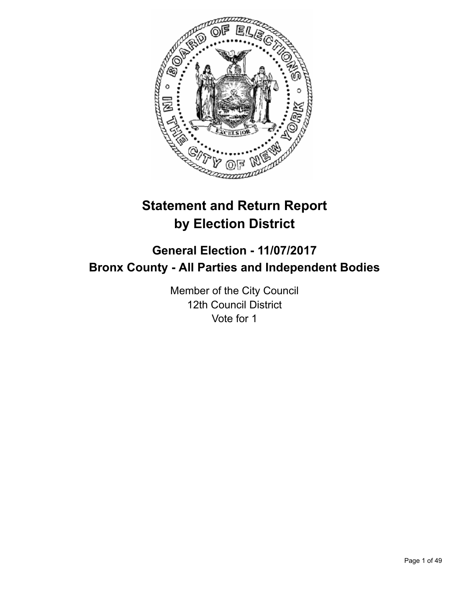

# **Statement and Return Report by Election District**

## **General Election - 11/07/2017 Bronx County - All Parties and Independent Bodies**

Member of the City Council 12th Council District Vote for 1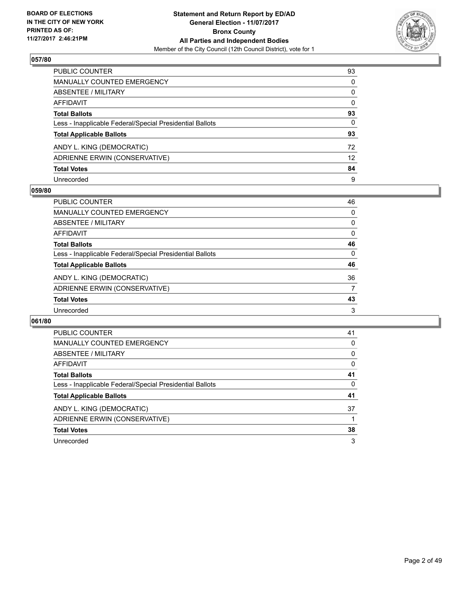

| PUBLIC COUNTER                                           | 93              |
|----------------------------------------------------------|-----------------|
| <b>MANUALLY COUNTED EMERGENCY</b>                        | 0               |
| <b>ABSENTEE / MILITARY</b>                               | 0               |
| AFFIDAVIT                                                | $\mathbf{0}$    |
| <b>Total Ballots</b>                                     | 93              |
| Less - Inapplicable Federal/Special Presidential Ballots | 0               |
| <b>Total Applicable Ballots</b>                          | 93              |
| ANDY L. KING (DEMOCRATIC)                                | 72              |
| ADRIENNE ERWIN (CONSERVATIVE)                            | 12 <sup>2</sup> |
| <b>Total Votes</b>                                       | 84              |
| Unrecorded                                               | 9               |

#### **059/80**

| <b>PUBLIC COUNTER</b>                                    | 46 |
|----------------------------------------------------------|----|
| <b>MANUALLY COUNTED EMERGENCY</b>                        | 0  |
| ABSENTEE / MILITARY                                      | 0  |
| AFFIDAVIT                                                | 0  |
| <b>Total Ballots</b>                                     | 46 |
| Less - Inapplicable Federal/Special Presidential Ballots | 0  |
| <b>Total Applicable Ballots</b>                          | 46 |
| ANDY L. KING (DEMOCRATIC)                                | 36 |
| ADRIENNE ERWIN (CONSERVATIVE)                            | 7  |
| <b>Total Votes</b>                                       | 43 |
| Unrecorded                                               | 3  |

| <b>PUBLIC COUNTER</b>                                    | 41 |
|----------------------------------------------------------|----|
| <b>MANUALLY COUNTED EMERGENCY</b>                        | 0  |
| <b>ABSENTEE / MILITARY</b>                               | 0  |
| AFFIDAVIT                                                | 0  |
| <b>Total Ballots</b>                                     | 41 |
| Less - Inapplicable Federal/Special Presidential Ballots | 0  |
| <b>Total Applicable Ballots</b>                          | 41 |
| ANDY L. KING (DEMOCRATIC)                                | 37 |
| ADRIENNE ERWIN (CONSERVATIVE)                            |    |
| <b>Total Votes</b>                                       | 38 |
| Unrecorded                                               | 3  |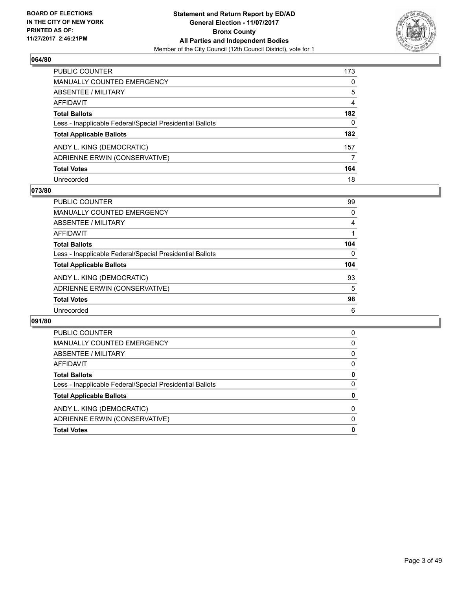

| <b>PUBLIC COUNTER</b>                                    | 173 |
|----------------------------------------------------------|-----|
| <b>MANUALLY COUNTED EMERGENCY</b>                        | 0   |
| <b>ABSENTEE / MILITARY</b>                               | 5   |
| AFFIDAVIT                                                | 4   |
| <b>Total Ballots</b>                                     | 182 |
| Less - Inapplicable Federal/Special Presidential Ballots | 0   |
| <b>Total Applicable Ballots</b>                          | 182 |
| ANDY L. KING (DEMOCRATIC)                                | 157 |
| ADRIENNE ERWIN (CONSERVATIVE)                            | 7   |
| <b>Total Votes</b>                                       | 164 |
| Unrecorded                                               | 18  |

#### **073/80**

| <b>PUBLIC COUNTER</b>                                    | 99  |
|----------------------------------------------------------|-----|
| MANUALLY COUNTED EMERGENCY                               | 0   |
| ABSENTEE / MILITARY                                      | 4   |
| AFFIDAVIT                                                |     |
| <b>Total Ballots</b>                                     | 104 |
| Less - Inapplicable Federal/Special Presidential Ballots | 0   |
| <b>Total Applicable Ballots</b>                          | 104 |
| ANDY L. KING (DEMOCRATIC)                                | 93  |
| ADRIENNE ERWIN (CONSERVATIVE)                            | 5   |
| <b>Total Votes</b>                                       | 98  |
| Unrecorded                                               | 6   |

| <b>Total Votes</b>                                       | 0        |
|----------------------------------------------------------|----------|
| ADRIENNE ERWIN (CONSERVATIVE)                            | $\Omega$ |
| ANDY L. KING (DEMOCRATIC)                                | 0        |
| <b>Total Applicable Ballots</b>                          | 0        |
| Less - Inapplicable Federal/Special Presidential Ballots | 0        |
| <b>Total Ballots</b>                                     | 0        |
| AFFIDAVIT                                                | 0        |
| ABSENTEE / MILITARY                                      | 0        |
| <b>MANUALLY COUNTED EMERGENCY</b>                        | 0        |
| <b>PUBLIC COUNTER</b>                                    | 0        |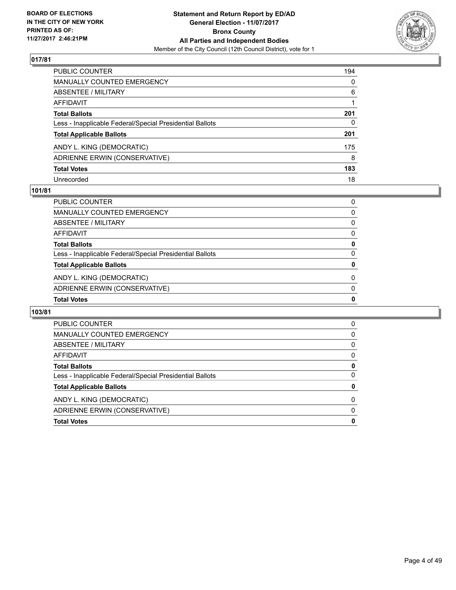

| PUBLIC COUNTER                                           | 194      |
|----------------------------------------------------------|----------|
| <b>MANUALLY COUNTED EMERGENCY</b>                        | $\Omega$ |
| <b>ABSENTEE / MILITARY</b>                               | 6        |
| <b>AFFIDAVIT</b>                                         |          |
| <b>Total Ballots</b>                                     | 201      |
| Less - Inapplicable Federal/Special Presidential Ballots | 0        |
| <b>Total Applicable Ballots</b>                          | 201      |
| ANDY L. KING (DEMOCRATIC)                                | 175      |
| ADRIENNE ERWIN (CONSERVATIVE)                            | 8        |
| <b>Total Votes</b>                                       | 183      |
| Unrecorded                                               | 18       |

#### **101/81**

| <b>Total Votes</b>                                       | 0 |
|----------------------------------------------------------|---|
| ADRIENNE ERWIN (CONSERVATIVE)                            | 0 |
| ANDY L. KING (DEMOCRATIC)                                | 0 |
| <b>Total Applicable Ballots</b>                          | 0 |
| Less - Inapplicable Federal/Special Presidential Ballots | 0 |
| <b>Total Ballots</b>                                     | 0 |
| AFFIDAVIT                                                | 0 |
| ABSENTEE / MILITARY                                      | 0 |
| MANUALLY COUNTED EMERGENCY                               | 0 |
| PUBLIC COUNTER                                           | 0 |

| <b>PUBLIC COUNTER</b>                                    | 0 |
|----------------------------------------------------------|---|
| <b>MANUALLY COUNTED EMERGENCY</b>                        | 0 |
| ABSENTEE / MILITARY                                      | 0 |
| AFFIDAVIT                                                | 0 |
| <b>Total Ballots</b>                                     | 0 |
| Less - Inapplicable Federal/Special Presidential Ballots | 0 |
| <b>Total Applicable Ballots</b>                          | 0 |
| ANDY L. KING (DEMOCRATIC)                                | 0 |
| ADRIENNE ERWIN (CONSERVATIVE)                            | 0 |
| <b>Total Votes</b>                                       | 0 |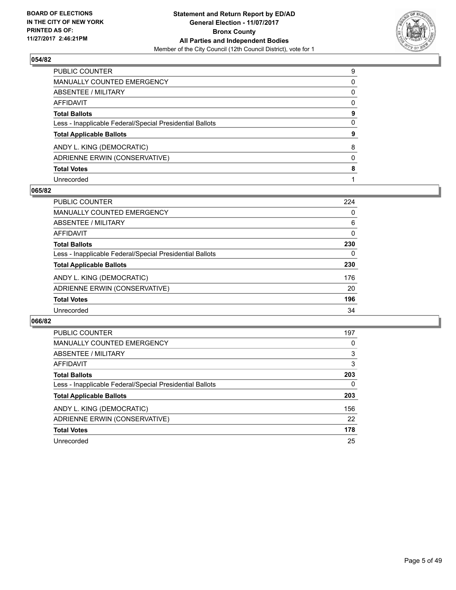

| PUBLIC COUNTER                                           | 9 |
|----------------------------------------------------------|---|
| MANUALLY COUNTED EMERGENCY                               | 0 |
| <b>ABSENTEE / MILITARY</b>                               | 0 |
| <b>AFFIDAVIT</b>                                         | 0 |
| <b>Total Ballots</b>                                     | 9 |
| Less - Inapplicable Federal/Special Presidential Ballots | 0 |
| <b>Total Applicable Ballots</b>                          | 9 |
| ANDY L. KING (DEMOCRATIC)                                | 8 |
| ADRIENNE ERWIN (CONSERVATIVE)                            | 0 |
| <b>Total Votes</b>                                       | 8 |
| Unrecorded                                               |   |

#### **065/82**

| <b>PUBLIC COUNTER</b>                                    | 224 |
|----------------------------------------------------------|-----|
| <b>MANUALLY COUNTED EMERGENCY</b>                        | 0   |
| ABSENTEE / MILITARY                                      | 6   |
| AFFIDAVIT                                                | 0   |
| <b>Total Ballots</b>                                     | 230 |
| Less - Inapplicable Federal/Special Presidential Ballots | 0   |
| <b>Total Applicable Ballots</b>                          | 230 |
| ANDY L. KING (DEMOCRATIC)                                | 176 |
| ADRIENNE ERWIN (CONSERVATIVE)                            | 20  |
| <b>Total Votes</b>                                       | 196 |
| Unrecorded                                               | 34  |

| <b>PUBLIC COUNTER</b>                                    | 197 |
|----------------------------------------------------------|-----|
| <b>MANUALLY COUNTED EMERGENCY</b>                        | 0   |
| ABSENTEE / MILITARY                                      | 3   |
| <b>AFFIDAVIT</b>                                         | 3   |
| <b>Total Ballots</b>                                     | 203 |
| Less - Inapplicable Federal/Special Presidential Ballots | 0   |
| <b>Total Applicable Ballots</b>                          | 203 |
| ANDY L. KING (DEMOCRATIC)                                | 156 |
| ADRIENNE ERWIN (CONSERVATIVE)                            | 22  |
| <b>Total Votes</b>                                       | 178 |
| Unrecorded                                               | 25  |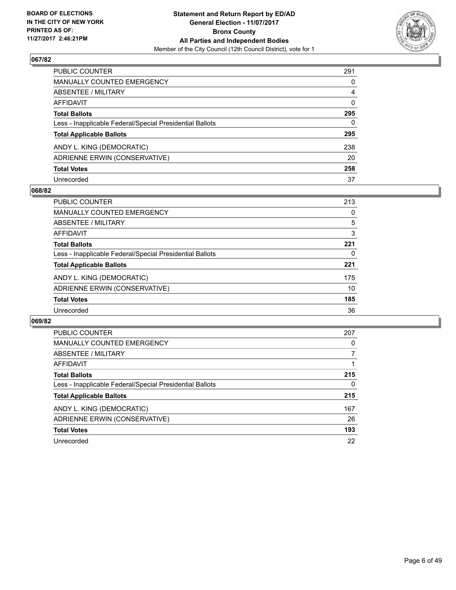

| PUBLIC COUNTER                                           | 291      |
|----------------------------------------------------------|----------|
| <b>MANUALLY COUNTED EMERGENCY</b>                        | $\Omega$ |
| <b>ABSENTEE / MILITARY</b>                               | 4        |
| AFFIDAVIT                                                | $\Omega$ |
| <b>Total Ballots</b>                                     | 295      |
| Less - Inapplicable Federal/Special Presidential Ballots | 0        |
| <b>Total Applicable Ballots</b>                          | 295      |
| ANDY L. KING (DEMOCRATIC)                                | 238      |
| ADRIENNE ERWIN (CONSERVATIVE)                            | 20       |
| <b>Total Votes</b>                                       | 258      |
| Unrecorded                                               | 37       |

#### **068/82**

| PUBLIC COUNTER                                           | 213 |
|----------------------------------------------------------|-----|
| <b>MANUALLY COUNTED EMERGENCY</b>                        | 0   |
| ABSENTEE / MILITARY                                      | 5   |
| AFFIDAVIT                                                | 3   |
| <b>Total Ballots</b>                                     | 221 |
| Less - Inapplicable Federal/Special Presidential Ballots | 0   |
| <b>Total Applicable Ballots</b>                          | 221 |
| ANDY L. KING (DEMOCRATIC)                                | 175 |
| ADRIENNE ERWIN (CONSERVATIVE)                            | 10  |
| <b>Total Votes</b>                                       | 185 |
| Unrecorded                                               | 36  |

| PUBLIC COUNTER                                           | 207 |
|----------------------------------------------------------|-----|
| <b>MANUALLY COUNTED EMERGENCY</b>                        | 0   |
| ABSENTEE / MILITARY                                      | 7   |
| <b>AFFIDAVIT</b>                                         |     |
| <b>Total Ballots</b>                                     | 215 |
| Less - Inapplicable Federal/Special Presidential Ballots | 0   |
| <b>Total Applicable Ballots</b>                          | 215 |
| ANDY L. KING (DEMOCRATIC)                                | 167 |
| ADRIENNE ERWIN (CONSERVATIVE)                            | 26  |
| <b>Total Votes</b>                                       | 193 |
| Unrecorded                                               | 22  |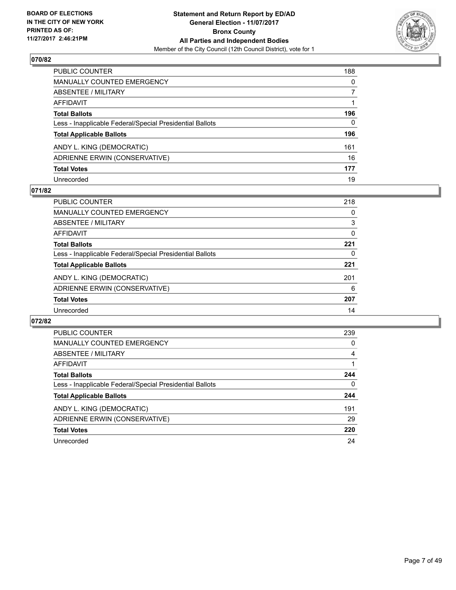

| PUBLIC COUNTER                                           | 188 |
|----------------------------------------------------------|-----|
| <b>MANUALLY COUNTED EMERGENCY</b>                        | 0   |
| <b>ABSENTEE / MILITARY</b>                               | 7   |
| <b>AFFIDAVIT</b>                                         |     |
| <b>Total Ballots</b>                                     | 196 |
| Less - Inapplicable Federal/Special Presidential Ballots | 0   |
| <b>Total Applicable Ballots</b>                          | 196 |
| ANDY L. KING (DEMOCRATIC)                                | 161 |
| ADRIENNE ERWIN (CONSERVATIVE)                            | 16  |
| <b>Total Votes</b>                                       | 177 |
| Unrecorded                                               | 19  |

#### **071/82**

| PUBLIC COUNTER                                           | 218 |
|----------------------------------------------------------|-----|
| <b>MANUALLY COUNTED EMERGENCY</b>                        | 0   |
| ABSENTEE / MILITARY                                      | 3   |
| AFFIDAVIT                                                | 0   |
| <b>Total Ballots</b>                                     | 221 |
| Less - Inapplicable Federal/Special Presidential Ballots | 0   |
| <b>Total Applicable Ballots</b>                          | 221 |
| ANDY L. KING (DEMOCRATIC)                                | 201 |
| ADRIENNE ERWIN (CONSERVATIVE)                            | 6   |
| <b>Total Votes</b>                                       | 207 |
| Unrecorded                                               | 14  |

| PUBLIC COUNTER                                           | 239 |
|----------------------------------------------------------|-----|
| <b>MANUALLY COUNTED EMERGENCY</b>                        | 0   |
| ABSENTEE / MILITARY                                      | 4   |
| <b>AFFIDAVIT</b>                                         |     |
| <b>Total Ballots</b>                                     | 244 |
| Less - Inapplicable Federal/Special Presidential Ballots | 0   |
| <b>Total Applicable Ballots</b>                          | 244 |
| ANDY L. KING (DEMOCRATIC)                                | 191 |
| ADRIENNE ERWIN (CONSERVATIVE)                            | 29  |
| <b>Total Votes</b>                                       | 220 |
| Unrecorded                                               | 24  |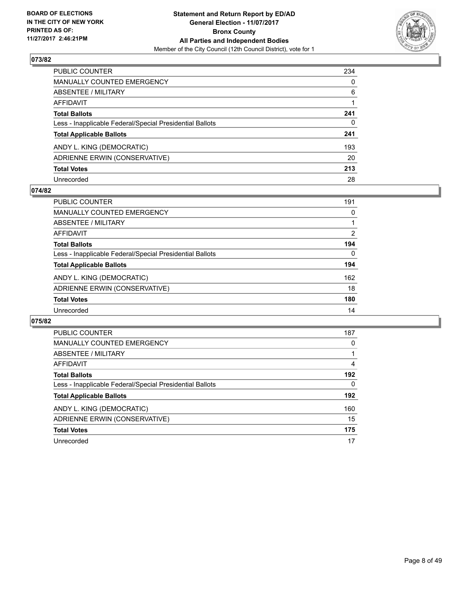

| PUBLIC COUNTER                                           | 234 |
|----------------------------------------------------------|-----|
| <b>MANUALLY COUNTED EMERGENCY</b>                        | 0   |
| <b>ABSENTEE / MILITARY</b>                               | 6   |
| AFFIDAVIT                                                |     |
| <b>Total Ballots</b>                                     | 241 |
| Less - Inapplicable Federal/Special Presidential Ballots | 0   |
| <b>Total Applicable Ballots</b>                          | 241 |
| ANDY L. KING (DEMOCRATIC)                                | 193 |
| ADRIENNE ERWIN (CONSERVATIVE)                            | 20  |
| <b>Total Votes</b>                                       | 213 |
| Unrecorded                                               | 28  |

#### **074/82**

| PUBLIC COUNTER                                           | 191 |
|----------------------------------------------------------|-----|
| MANUALLY COUNTED EMERGENCY                               | 0   |
| ABSENTEE / MILITARY                                      |     |
| AFFIDAVIT                                                | 2   |
| <b>Total Ballots</b>                                     | 194 |
| Less - Inapplicable Federal/Special Presidential Ballots | 0   |
| <b>Total Applicable Ballots</b>                          | 194 |
| ANDY L. KING (DEMOCRATIC)                                | 162 |
| ADRIENNE ERWIN (CONSERVATIVE)                            | 18  |
| <b>Total Votes</b>                                       | 180 |
| Unrecorded                                               | 14  |

| <b>PUBLIC COUNTER</b>                                    | 187 |
|----------------------------------------------------------|-----|
| <b>MANUALLY COUNTED EMERGENCY</b>                        | 0   |
| ABSENTEE / MILITARY                                      |     |
| <b>AFFIDAVIT</b>                                         | 4   |
| <b>Total Ballots</b>                                     | 192 |
| Less - Inapplicable Federal/Special Presidential Ballots | 0   |
| <b>Total Applicable Ballots</b>                          | 192 |
| ANDY L. KING (DEMOCRATIC)                                | 160 |
| ADRIENNE ERWIN (CONSERVATIVE)                            | 15  |
| <b>Total Votes</b>                                       | 175 |
| Unrecorded                                               | 17  |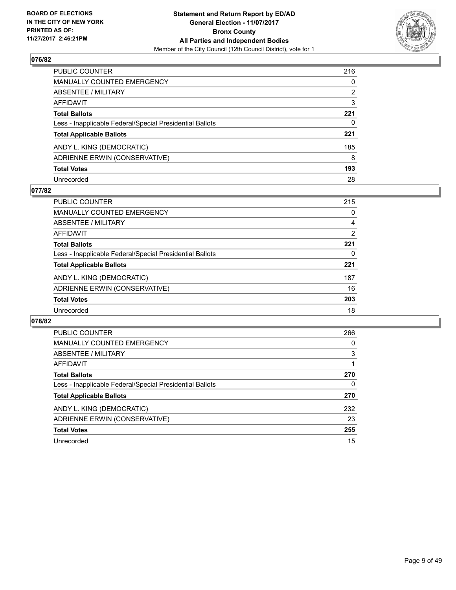

| PUBLIC COUNTER                                           | 216 |
|----------------------------------------------------------|-----|
| <b>MANUALLY COUNTED EMERGENCY</b>                        | 0   |
| <b>ABSENTEE / MILITARY</b>                               | 2   |
| <b>AFFIDAVIT</b>                                         | 3   |
| <b>Total Ballots</b>                                     | 221 |
| Less - Inapplicable Federal/Special Presidential Ballots | 0   |
| <b>Total Applicable Ballots</b>                          | 221 |
| ANDY L. KING (DEMOCRATIC)                                | 185 |
| ADRIENNE ERWIN (CONSERVATIVE)                            | 8   |
| <b>Total Votes</b>                                       | 193 |
| Unrecorded                                               | 28  |

#### **077/82**

| PUBLIC COUNTER                                           | 215 |
|----------------------------------------------------------|-----|
| <b>MANUALLY COUNTED EMERGENCY</b>                        | 0   |
| ABSENTEE / MILITARY                                      | 4   |
| AFFIDAVIT                                                | 2   |
| <b>Total Ballots</b>                                     | 221 |
| Less - Inapplicable Federal/Special Presidential Ballots | 0   |
| <b>Total Applicable Ballots</b>                          | 221 |
| ANDY L. KING (DEMOCRATIC)                                | 187 |
| ADRIENNE ERWIN (CONSERVATIVE)                            | 16  |
| <b>Total Votes</b>                                       | 203 |
| Unrecorded                                               | 18  |

| <b>PUBLIC COUNTER</b>                                    | 266 |
|----------------------------------------------------------|-----|
| <b>MANUALLY COUNTED EMERGENCY</b>                        | 0   |
| ABSENTEE / MILITARY                                      | 3   |
| <b>AFFIDAVIT</b>                                         |     |
| <b>Total Ballots</b>                                     | 270 |
| Less - Inapplicable Federal/Special Presidential Ballots | 0   |
| <b>Total Applicable Ballots</b>                          | 270 |
| ANDY L. KING (DEMOCRATIC)                                | 232 |
| ADRIENNE ERWIN (CONSERVATIVE)                            | 23  |
| <b>Total Votes</b>                                       | 255 |
| Unrecorded                                               | 15  |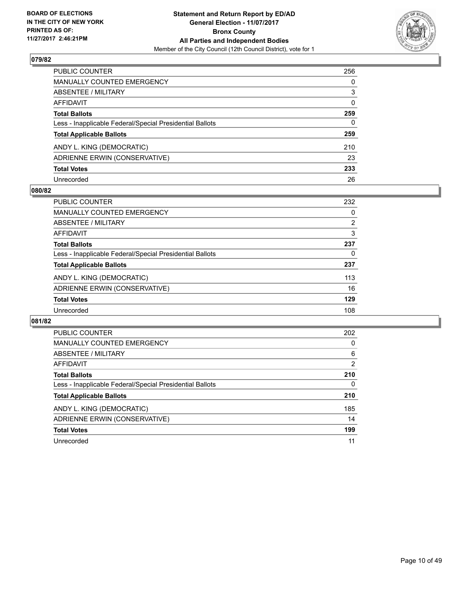

| PUBLIC COUNTER                                           | 256      |
|----------------------------------------------------------|----------|
| <b>MANUALLY COUNTED EMERGENCY</b>                        | 0        |
| <b>ABSENTEE / MILITARY</b>                               | 3        |
| AFFIDAVIT                                                | $\Omega$ |
| <b>Total Ballots</b>                                     | 259      |
| Less - Inapplicable Federal/Special Presidential Ballots | 0        |
| <b>Total Applicable Ballots</b>                          | 259      |
| ANDY L. KING (DEMOCRATIC)                                | 210      |
| ADRIENNE ERWIN (CONSERVATIVE)                            | 23       |
| <b>Total Votes</b>                                       | 233      |
| Unrecorded                                               | 26       |

#### **080/82**

| <b>PUBLIC COUNTER</b>                                    | 232 |
|----------------------------------------------------------|-----|
| <b>MANUALLY COUNTED EMERGENCY</b>                        | 0   |
| ABSENTEE / MILITARY                                      | 2   |
| AFFIDAVIT                                                | 3   |
| <b>Total Ballots</b>                                     | 237 |
| Less - Inapplicable Federal/Special Presidential Ballots | 0   |
| <b>Total Applicable Ballots</b>                          | 237 |
| ANDY L. KING (DEMOCRATIC)                                | 113 |
| ADRIENNE ERWIN (CONSERVATIVE)                            | 16  |
| <b>Total Votes</b>                                       | 129 |
| Unrecorded                                               | 108 |

| PUBLIC COUNTER                                           | 202            |
|----------------------------------------------------------|----------------|
| <b>MANUALLY COUNTED EMERGENCY</b>                        | 0              |
| ABSENTEE / MILITARY                                      | 6              |
| AFFIDAVIT                                                | $\overline{2}$ |
| <b>Total Ballots</b>                                     | 210            |
| Less - Inapplicable Federal/Special Presidential Ballots | 0              |
| <b>Total Applicable Ballots</b>                          | 210            |
| ANDY L. KING (DEMOCRATIC)                                | 185            |
| ADRIENNE ERWIN (CONSERVATIVE)                            | 14             |
| <b>Total Votes</b>                                       | 199            |
| Unrecorded                                               | 11             |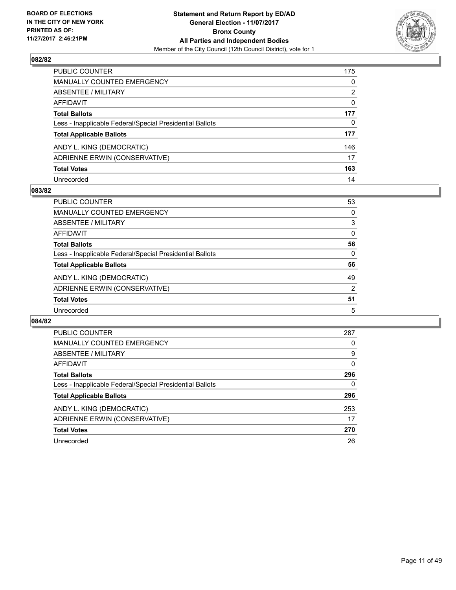

| PUBLIC COUNTER                                           | 175 |
|----------------------------------------------------------|-----|
| <b>MANUALLY COUNTED EMERGENCY</b>                        | 0   |
| <b>ABSENTEE / MILITARY</b>                               | 2   |
| <b>AFFIDAVIT</b>                                         | 0   |
| <b>Total Ballots</b>                                     | 177 |
| Less - Inapplicable Federal/Special Presidential Ballots | 0   |
| <b>Total Applicable Ballots</b>                          | 177 |
| ANDY L. KING (DEMOCRATIC)                                | 146 |
| ADRIENNE ERWIN (CONSERVATIVE)                            | 17  |
| <b>Total Votes</b>                                       | 163 |
| Unrecorded                                               | 14  |

#### **083/82**

| <b>PUBLIC COUNTER</b>                                    | 53             |
|----------------------------------------------------------|----------------|
| MANUALLY COUNTED EMERGENCY                               | 0              |
| ABSENTEE / MILITARY                                      | 3              |
| AFFIDAVIT                                                | 0              |
| <b>Total Ballots</b>                                     | 56             |
| Less - Inapplicable Federal/Special Presidential Ballots | 0              |
| <b>Total Applicable Ballots</b>                          | 56             |
| ANDY L. KING (DEMOCRATIC)                                | 49             |
| ADRIENNE ERWIN (CONSERVATIVE)                            | $\overline{2}$ |
| <b>Total Votes</b>                                       | 51             |
| Unrecorded                                               | 5              |

| <b>PUBLIC COUNTER</b>                                    | 287 |
|----------------------------------------------------------|-----|
| MANUALLY COUNTED EMERGENCY                               | 0   |
| ABSENTEE / MILITARY                                      | 9   |
| AFFIDAVIT                                                | 0   |
| <b>Total Ballots</b>                                     | 296 |
| Less - Inapplicable Federal/Special Presidential Ballots | 0   |
| <b>Total Applicable Ballots</b>                          | 296 |
| ANDY L. KING (DEMOCRATIC)                                | 253 |
| ADRIENNE ERWIN (CONSERVATIVE)                            | 17  |
| <b>Total Votes</b>                                       | 270 |
| Unrecorded                                               | 26  |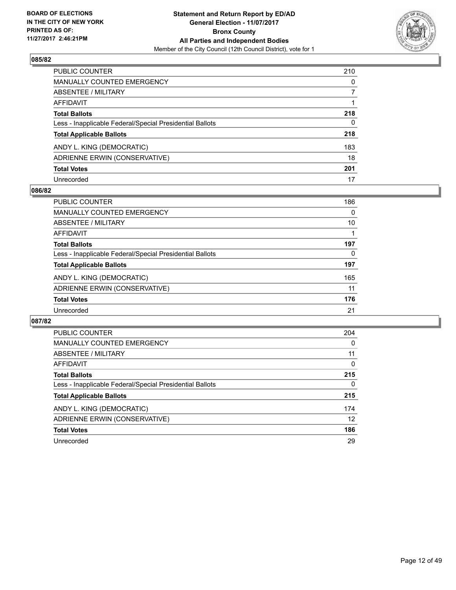

| PUBLIC COUNTER                                           | 210 |
|----------------------------------------------------------|-----|
| <b>MANUALLY COUNTED EMERGENCY</b>                        | 0   |
| ABSENTEE / MILITARY                                      | 7   |
| AFFIDAVIT                                                |     |
| <b>Total Ballots</b>                                     | 218 |
| Less - Inapplicable Federal/Special Presidential Ballots | 0   |
| <b>Total Applicable Ballots</b>                          | 218 |
| ANDY L. KING (DEMOCRATIC)                                | 183 |
| ADRIENNE ERWIN (CONSERVATIVE)                            | 18  |
| <b>Total Votes</b>                                       | 201 |
| Unrecorded                                               | 17  |

#### **086/82**

| <b>PUBLIC COUNTER</b>                                    | 186 |
|----------------------------------------------------------|-----|
| <b>MANUALLY COUNTED EMERGENCY</b>                        | 0   |
| ABSENTEE / MILITARY                                      | 10  |
| AFFIDAVIT                                                |     |
| <b>Total Ballots</b>                                     | 197 |
| Less - Inapplicable Federal/Special Presidential Ballots | 0   |
| <b>Total Applicable Ballots</b>                          | 197 |
| ANDY L. KING (DEMOCRATIC)                                | 165 |
| ADRIENNE ERWIN (CONSERVATIVE)                            | 11  |
| <b>Total Votes</b>                                       | 176 |
| Unrecorded                                               | 21  |

| <b>PUBLIC COUNTER</b>                                    | 204      |
|----------------------------------------------------------|----------|
| MANUALLY COUNTED EMERGENCY                               | 0        |
| ABSENTEE / MILITARY                                      | 11       |
| AFFIDAVIT                                                | $\Omega$ |
| <b>Total Ballots</b>                                     | 215      |
| Less - Inapplicable Federal/Special Presidential Ballots | 0        |
| <b>Total Applicable Ballots</b>                          | 215      |
| ANDY L. KING (DEMOCRATIC)                                | 174      |
| ADRIENNE ERWIN (CONSERVATIVE)                            | 12       |
| <b>Total Votes</b>                                       | 186      |
| Unrecorded                                               | 29       |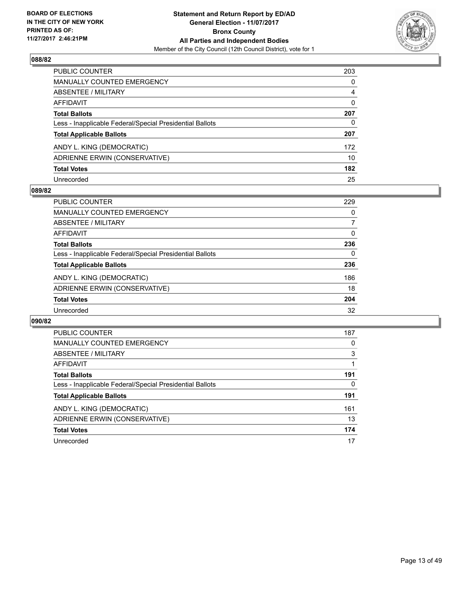

| PUBLIC COUNTER                                           | 203          |
|----------------------------------------------------------|--------------|
| <b>MANUALLY COUNTED EMERGENCY</b>                        | $\mathbf{0}$ |
| <b>ABSENTEE / MILITARY</b>                               | 4            |
| AFFIDAVIT                                                | $\Omega$     |
| <b>Total Ballots</b>                                     | 207          |
| Less - Inapplicable Federal/Special Presidential Ballots | 0            |
| <b>Total Applicable Ballots</b>                          | 207          |
| ANDY L. KING (DEMOCRATIC)                                | 172          |
| ADRIENNE ERWIN (CONSERVATIVE)                            | 10           |
| <b>Total Votes</b>                                       | 182          |
| Unrecorded                                               | 25           |

#### **089/82**

| <b>PUBLIC COUNTER</b>                                    | 229 |
|----------------------------------------------------------|-----|
| <b>MANUALLY COUNTED EMERGENCY</b>                        | 0   |
| ABSENTEE / MILITARY                                      |     |
| AFFIDAVIT                                                | 0   |
| <b>Total Ballots</b>                                     | 236 |
| Less - Inapplicable Federal/Special Presidential Ballots | 0   |
| <b>Total Applicable Ballots</b>                          | 236 |
| ANDY L. KING (DEMOCRATIC)                                | 186 |
| ADRIENNE ERWIN (CONSERVATIVE)                            | 18  |
| <b>Total Votes</b>                                       | 204 |
| Unrecorded                                               | 32  |

| <b>PUBLIC COUNTER</b>                                    | 187 |
|----------------------------------------------------------|-----|
| <b>MANUALLY COUNTED EMERGENCY</b>                        | 0   |
| ABSENTEE / MILITARY                                      | 3   |
| <b>AFFIDAVIT</b>                                         |     |
| <b>Total Ballots</b>                                     | 191 |
| Less - Inapplicable Federal/Special Presidential Ballots | 0   |
| <b>Total Applicable Ballots</b>                          | 191 |
| ANDY L. KING (DEMOCRATIC)                                | 161 |
| ADRIENNE ERWIN (CONSERVATIVE)                            | 13  |
| <b>Total Votes</b>                                       | 174 |
| Unrecorded                                               | 17  |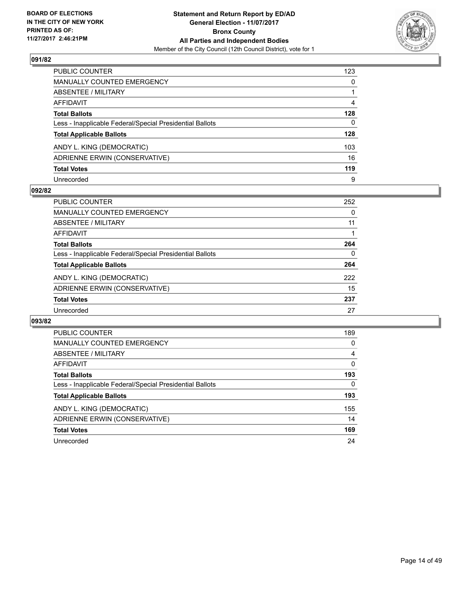

| PUBLIC COUNTER                                           | 123 |
|----------------------------------------------------------|-----|
| <b>MANUALLY COUNTED EMERGENCY</b>                        | 0   |
| <b>ABSENTEE / MILITARY</b>                               | 1   |
| AFFIDAVIT                                                | 4   |
| <b>Total Ballots</b>                                     | 128 |
| Less - Inapplicable Federal/Special Presidential Ballots | 0   |
| <b>Total Applicable Ballots</b>                          | 128 |
| ANDY L. KING (DEMOCRATIC)                                | 103 |
| ADRIENNE ERWIN (CONSERVATIVE)                            | 16  |
| <b>Total Votes</b>                                       | 119 |
| Unrecorded                                               | 9   |

#### **092/82**

| PUBLIC COUNTER                                           | 252 |
|----------------------------------------------------------|-----|
| <b>MANUALLY COUNTED EMERGENCY</b>                        | 0   |
| <b>ABSENTEE / MILITARY</b>                               | 11  |
| AFFIDAVIT                                                |     |
| <b>Total Ballots</b>                                     | 264 |
| Less - Inapplicable Federal/Special Presidential Ballots | 0   |
| <b>Total Applicable Ballots</b>                          | 264 |
| ANDY L. KING (DEMOCRATIC)                                | 222 |
| ADRIENNE ERWIN (CONSERVATIVE)                            | 15  |
| <b>Total Votes</b>                                       | 237 |
| Unrecorded                                               | 27  |

| <b>PUBLIC COUNTER</b>                                    | 189 |
|----------------------------------------------------------|-----|
| <b>MANUALLY COUNTED EMERGENCY</b>                        | 0   |
| ABSENTEE / MILITARY                                      | 4   |
| <b>AFFIDAVIT</b>                                         | 0   |
| <b>Total Ballots</b>                                     | 193 |
| Less - Inapplicable Federal/Special Presidential Ballots | 0   |
| <b>Total Applicable Ballots</b>                          | 193 |
| ANDY L. KING (DEMOCRATIC)                                | 155 |
| ADRIENNE ERWIN (CONSERVATIVE)                            | 14  |
| <b>Total Votes</b>                                       | 169 |
| Unrecorded                                               | 24  |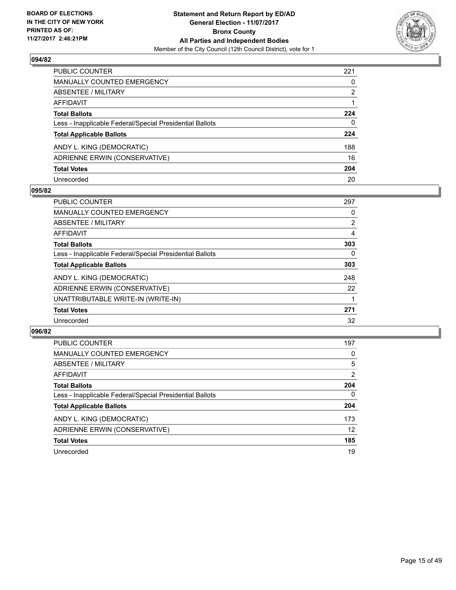

| PUBLIC COUNTER                                           | 221 |
|----------------------------------------------------------|-----|
| <b>MANUALLY COUNTED EMERGENCY</b>                        | 0   |
| <b>ABSENTEE / MILITARY</b>                               | 2   |
| AFFIDAVIT                                                |     |
| <b>Total Ballots</b>                                     | 224 |
| Less - Inapplicable Federal/Special Presidential Ballots | 0   |
| <b>Total Applicable Ballots</b>                          | 224 |
| ANDY L. KING (DEMOCRATIC)                                | 188 |
| ADRIENNE ERWIN (CONSERVATIVE)                            | 16  |
| <b>Total Votes</b>                                       | 204 |
| Unrecorded                                               | 20  |

#### **095/82**

| <b>PUBLIC COUNTER</b>                                    | 297            |
|----------------------------------------------------------|----------------|
| <b>MANUALLY COUNTED EMERGENCY</b>                        | 0              |
| ABSENTEE / MILITARY                                      | $\overline{2}$ |
| <b>AFFIDAVIT</b>                                         | 4              |
| <b>Total Ballots</b>                                     | 303            |
| Less - Inapplicable Federal/Special Presidential Ballots | 0              |
| <b>Total Applicable Ballots</b>                          | 303            |
| ANDY L. KING (DEMOCRATIC)                                | 248            |
| ADRIENNE ERWIN (CONSERVATIVE)                            | 22             |
| UNATTRIBUTABLE WRITE-IN (WRITE-IN)                       |                |
| <b>Total Votes</b>                                       | 271            |
| Unrecorded                                               | 32             |

| <b>PUBLIC COUNTER</b>                                    | 197            |
|----------------------------------------------------------|----------------|
| MANUALLY COUNTED EMERGENCY                               | 0              |
| ABSENTEE / MILITARY                                      | 5              |
| AFFIDAVIT                                                | $\overline{2}$ |
| <b>Total Ballots</b>                                     | 204            |
| Less - Inapplicable Federal/Special Presidential Ballots | $\Omega$       |
| <b>Total Applicable Ballots</b>                          | 204            |
| ANDY L. KING (DEMOCRATIC)                                | 173            |
| ADRIENNE ERWIN (CONSERVATIVE)                            | 12             |
| <b>Total Votes</b>                                       | 185            |
| Unrecorded                                               | 19             |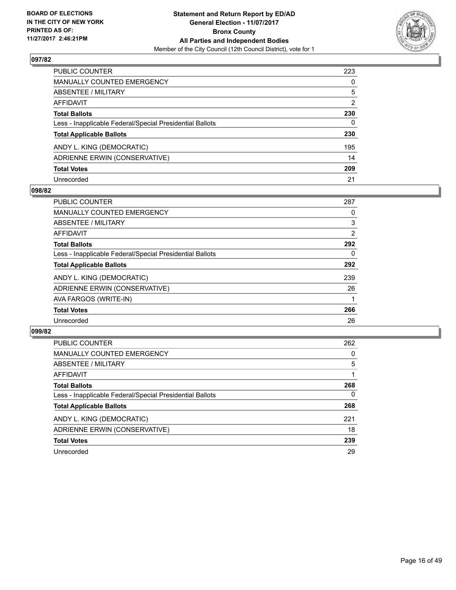

| PUBLIC COUNTER                                           | 223 |
|----------------------------------------------------------|-----|
| <b>MANUALLY COUNTED EMERGENCY</b>                        | 0   |
| <b>ABSENTEE / MILITARY</b>                               | 5   |
| AFFIDAVIT                                                | 2   |
| <b>Total Ballots</b>                                     | 230 |
| Less - Inapplicable Federal/Special Presidential Ballots | 0   |
| <b>Total Applicable Ballots</b>                          | 230 |
| ANDY L. KING (DEMOCRATIC)                                | 195 |
| ADRIENNE ERWIN (CONSERVATIVE)                            | 14  |
| <b>Total Votes</b>                                       | 209 |
| Unrecorded                                               | 21  |

#### **098/82**

| <b>PUBLIC COUNTER</b>                                    | 287 |
|----------------------------------------------------------|-----|
| <b>MANUALLY COUNTED EMERGENCY</b>                        | 0   |
| <b>ABSENTEE / MILITARY</b>                               | 3   |
| <b>AFFIDAVIT</b>                                         | 2   |
| <b>Total Ballots</b>                                     | 292 |
| Less - Inapplicable Federal/Special Presidential Ballots | 0   |
| <b>Total Applicable Ballots</b>                          | 292 |
| ANDY L. KING (DEMOCRATIC)                                | 239 |
| ADRIENNE ERWIN (CONSERVATIVE)                            | 26  |
| AVA FARGOS (WRITE-IN)                                    |     |
| <b>Total Votes</b>                                       | 266 |
| Unrecorded                                               | 26  |

| <b>PUBLIC COUNTER</b>                                    | 262 |
|----------------------------------------------------------|-----|
| <b>MANUALLY COUNTED EMERGENCY</b>                        | 0   |
| ABSENTEE / MILITARY                                      | 5   |
| AFFIDAVIT                                                |     |
| <b>Total Ballots</b>                                     | 268 |
| Less - Inapplicable Federal/Special Presidential Ballots | 0   |
| <b>Total Applicable Ballots</b>                          | 268 |
| ANDY L. KING (DEMOCRATIC)                                | 221 |
| ADRIENNE ERWIN (CONSERVATIVE)                            | 18  |
| <b>Total Votes</b>                                       | 239 |
| Unrecorded                                               | 29  |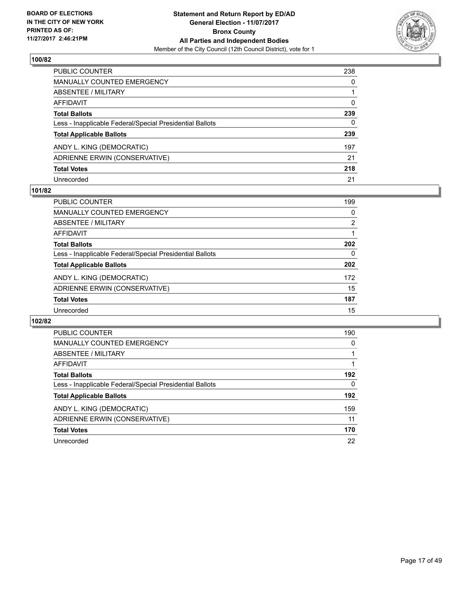

| PUBLIC COUNTER                                           | 238 |
|----------------------------------------------------------|-----|
| <b>MANUALLY COUNTED EMERGENCY</b>                        | 0   |
| <b>ABSENTEE / MILITARY</b>                               | 1   |
| AFFIDAVIT                                                | 0   |
| <b>Total Ballots</b>                                     | 239 |
| Less - Inapplicable Federal/Special Presidential Ballots | 0   |
| <b>Total Applicable Ballots</b>                          | 239 |
| ANDY L. KING (DEMOCRATIC)                                | 197 |
| ADRIENNE ERWIN (CONSERVATIVE)                            | 21  |
| <b>Total Votes</b>                                       | 218 |
| Unrecorded                                               | 21  |

#### **101/82**

| PUBLIC COUNTER                                           | 199 |
|----------------------------------------------------------|-----|
| <b>MANUALLY COUNTED EMERGENCY</b>                        | 0   |
| ABSENTEE / MILITARY                                      | 2   |
| AFFIDAVIT                                                |     |
| <b>Total Ballots</b>                                     | 202 |
| Less - Inapplicable Federal/Special Presidential Ballots | 0   |
| <b>Total Applicable Ballots</b>                          | 202 |
| ANDY L. KING (DEMOCRATIC)                                | 172 |
| ADRIENNE ERWIN (CONSERVATIVE)                            | 15  |
| <b>Total Votes</b>                                       | 187 |
| Unrecorded                                               | 15  |

| PUBLIC COUNTER                                           | 190 |
|----------------------------------------------------------|-----|
| <b>MANUALLY COUNTED EMERGENCY</b>                        | 0   |
| ABSENTEE / MILITARY                                      |     |
| <b>AFFIDAVIT</b>                                         |     |
| <b>Total Ballots</b>                                     | 192 |
| Less - Inapplicable Federal/Special Presidential Ballots | 0   |
| <b>Total Applicable Ballots</b>                          | 192 |
| ANDY L. KING (DEMOCRATIC)                                | 159 |
| ADRIENNE ERWIN (CONSERVATIVE)                            | 11  |
| <b>Total Votes</b>                                       | 170 |
| Unrecorded                                               | 22  |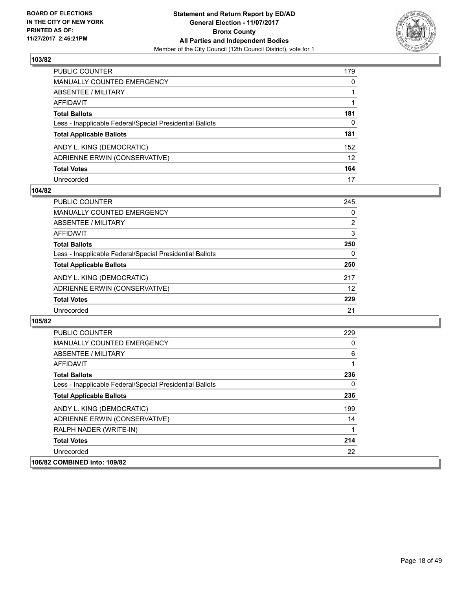

| PUBLIC COUNTER                                           | 179 |
|----------------------------------------------------------|-----|
| <b>MANUALLY COUNTED EMERGENCY</b>                        | 0   |
| ABSENTEE / MILITARY                                      |     |
| AFFIDAVIT                                                |     |
| <b>Total Ballots</b>                                     | 181 |
| Less - Inapplicable Federal/Special Presidential Ballots | 0   |
| <b>Total Applicable Ballots</b>                          | 181 |
| ANDY L. KING (DEMOCRATIC)                                | 152 |
| ADRIENNE ERWIN (CONSERVATIVE)                            | 12  |
| <b>Total Votes</b>                                       | 164 |
| Unrecorded                                               | 17  |

#### **104/82**

| <b>PUBLIC COUNTER</b>                                    | 245 |
|----------------------------------------------------------|-----|
| <b>MANUALLY COUNTED EMERGENCY</b>                        | 0   |
| ABSENTEE / MILITARY                                      | 2   |
| AFFIDAVIT                                                | 3   |
| <b>Total Ballots</b>                                     | 250 |
| Less - Inapplicable Federal/Special Presidential Ballots | 0   |
| <b>Total Applicable Ballots</b>                          | 250 |
| ANDY L. KING (DEMOCRATIC)                                | 217 |
| ADRIENNE ERWIN (CONSERVATIVE)                            | 12  |
| <b>Total Votes</b>                                       | 229 |
| Unrecorded                                               | 21  |

| <b>PUBLIC COUNTER</b>                                    | 229 |
|----------------------------------------------------------|-----|
| MANUALLY COUNTED EMERGENCY                               | 0   |
| ABSENTEE / MILITARY                                      | 6   |
| AFFIDAVIT                                                | 1   |
| <b>Total Ballots</b>                                     | 236 |
| Less - Inapplicable Federal/Special Presidential Ballots | 0   |
| <b>Total Applicable Ballots</b>                          | 236 |
| ANDY L. KING (DEMOCRATIC)                                | 199 |
| ADRIENNE ERWIN (CONSERVATIVE)                            | 14  |
| RALPH NADER (WRITE-IN)                                   | 1   |
| <b>Total Votes</b>                                       | 214 |
| Unrecorded                                               | 22  |
| 106/82 COMBINED into: 109/82                             |     |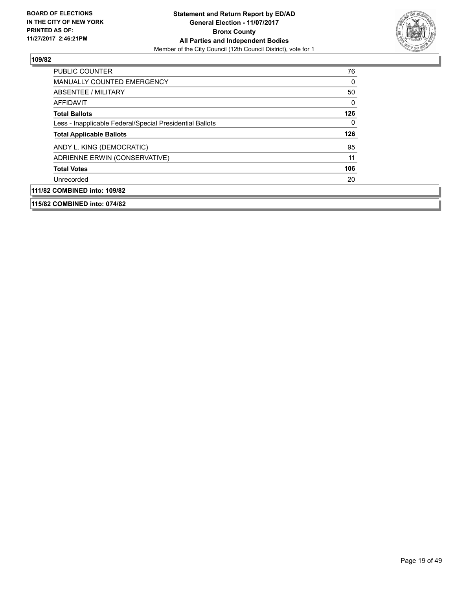

| 115/82 COMBINED into: 074/82                             |     |
|----------------------------------------------------------|-----|
| 111/82 COMBINED into: 109/82                             |     |
| Unrecorded                                               | 20  |
| <b>Total Votes</b>                                       | 106 |
| ADRIENNE ERWIN (CONSERVATIVE)                            | 11  |
| ANDY L. KING (DEMOCRATIC)                                | 95  |
| <b>Total Applicable Ballots</b>                          | 126 |
| Less - Inapplicable Federal/Special Presidential Ballots | 0   |
| <b>Total Ballots</b>                                     | 126 |
| <b>AFFIDAVIT</b>                                         | 0   |
| ABSENTEE / MILITARY                                      | 50  |
| <b>MANUALLY COUNTED EMERGENCY</b>                        | 0   |
| <b>PUBLIC COUNTER</b>                                    | 76  |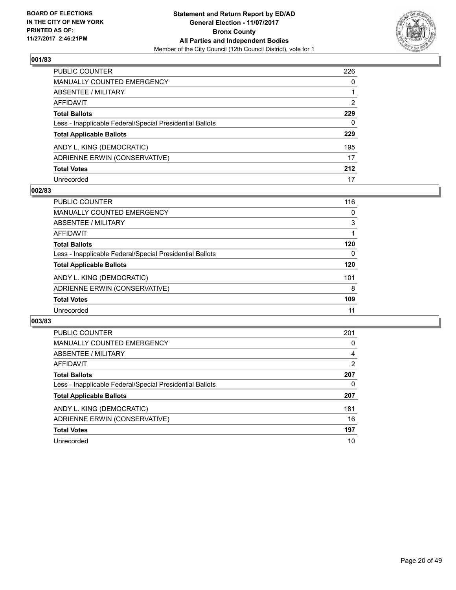

| PUBLIC COUNTER                                           | 226 |
|----------------------------------------------------------|-----|
| <b>MANUALLY COUNTED EMERGENCY</b>                        | 0   |
| <b>ABSENTEE / MILITARY</b>                               |     |
| AFFIDAVIT                                                | 2   |
| <b>Total Ballots</b>                                     | 229 |
| Less - Inapplicable Federal/Special Presidential Ballots | 0   |
| <b>Total Applicable Ballots</b>                          | 229 |
| ANDY L. KING (DEMOCRATIC)                                | 195 |
| ADRIENNE ERWIN (CONSERVATIVE)                            | 17  |
| <b>Total Votes</b>                                       | 212 |
| Unrecorded                                               | 17  |

#### **002/83**

| <b>PUBLIC COUNTER</b>                                    | 116 |
|----------------------------------------------------------|-----|
| <b>MANUALLY COUNTED EMERGENCY</b>                        | 0   |
| ABSENTEE / MILITARY                                      | 3   |
| AFFIDAVIT                                                |     |
| <b>Total Ballots</b>                                     | 120 |
| Less - Inapplicable Federal/Special Presidential Ballots | 0   |
| <b>Total Applicable Ballots</b>                          | 120 |
| ANDY L. KING (DEMOCRATIC)                                | 101 |
| ADRIENNE ERWIN (CONSERVATIVE)                            | 8   |
| <b>Total Votes</b>                                       | 109 |
| Unrecorded                                               | 11  |

| PUBLIC COUNTER                                           | 201            |
|----------------------------------------------------------|----------------|
| <b>MANUALLY COUNTED EMERGENCY</b>                        | 0              |
| ABSENTEE / MILITARY                                      | 4              |
| <b>AFFIDAVIT</b>                                         | $\overline{2}$ |
| <b>Total Ballots</b>                                     | 207            |
| Less - Inapplicable Federal/Special Presidential Ballots | 0              |
| <b>Total Applicable Ballots</b>                          | 207            |
| ANDY L. KING (DEMOCRATIC)                                | 181            |
| ADRIENNE ERWIN (CONSERVATIVE)                            | 16             |
| <b>Total Votes</b>                                       | 197            |
| Unrecorded                                               | 10             |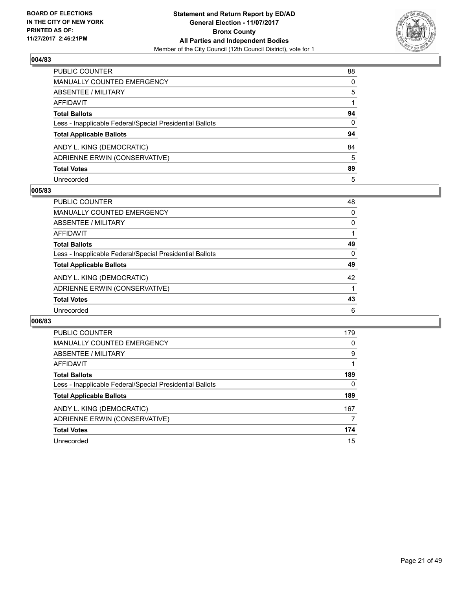

| PUBLIC COUNTER                                           | 88           |
|----------------------------------------------------------|--------------|
| MANUALLY COUNTED EMERGENCY                               | 0            |
| <b>ABSENTEE / MILITARY</b>                               | 5            |
| AFFIDAVIT                                                |              |
| <b>Total Ballots</b>                                     | 94           |
| Less - Inapplicable Federal/Special Presidential Ballots | $\mathbf{0}$ |
| <b>Total Applicable Ballots</b>                          | 94           |
| ANDY L. KING (DEMOCRATIC)                                | 84           |
| ADRIENNE ERWIN (CONSERVATIVE)                            | 5            |
| <b>Total Votes</b>                                       | 89           |
| Unrecorded                                               | 5            |

#### **005/83**

| <b>PUBLIC COUNTER</b>                                    | 48 |
|----------------------------------------------------------|----|
| MANUALLY COUNTED EMERGENCY                               | 0  |
| ABSENTEE / MILITARY                                      | 0  |
| AFFIDAVIT                                                |    |
| <b>Total Ballots</b>                                     | 49 |
| Less - Inapplicable Federal/Special Presidential Ballots | 0  |
| <b>Total Applicable Ballots</b>                          | 49 |
| ANDY L. KING (DEMOCRATIC)                                | 42 |
| ADRIENNE ERWIN (CONSERVATIVE)                            |    |
| <b>Total Votes</b>                                       | 43 |
| Unrecorded                                               | 6  |

| PUBLIC COUNTER                                           | 179 |
|----------------------------------------------------------|-----|
| <b>MANUALLY COUNTED EMERGENCY</b>                        | 0   |
| ABSENTEE / MILITARY                                      | 9   |
| <b>AFFIDAVIT</b>                                         |     |
| <b>Total Ballots</b>                                     | 189 |
| Less - Inapplicable Federal/Special Presidential Ballots | 0   |
| <b>Total Applicable Ballots</b>                          | 189 |
| ANDY L. KING (DEMOCRATIC)                                | 167 |
| ADRIENNE ERWIN (CONSERVATIVE)                            | 7   |
| <b>Total Votes</b>                                       | 174 |
| Unrecorded                                               | 15  |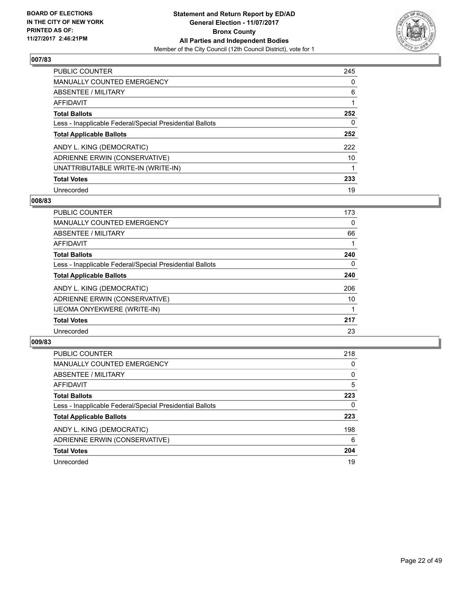

| <b>PUBLIC COUNTER</b>                                    | 245 |
|----------------------------------------------------------|-----|
| MANUALLY COUNTED EMERGENCY                               | 0   |
| ABSENTEE / MILITARY                                      | 6   |
| AFFIDAVIT                                                |     |
| <b>Total Ballots</b>                                     | 252 |
| Less - Inapplicable Federal/Special Presidential Ballots | 0   |
| <b>Total Applicable Ballots</b>                          | 252 |
| ANDY L. KING (DEMOCRATIC)                                | 222 |
| ADRIENNE ERWIN (CONSERVATIVE)                            | 10  |
| UNATTRIBUTABLE WRITE-IN (WRITE-IN)                       |     |
| <b>Total Votes</b>                                       | 233 |
| Unrecorded                                               | 19  |

#### **008/83**

| <b>PUBLIC COUNTER</b>                                    | 173      |
|----------------------------------------------------------|----------|
| <b>MANUALLY COUNTED EMERGENCY</b>                        | 0        |
| ABSENTEE / MILITARY                                      | 66       |
| <b>AFFIDAVIT</b>                                         |          |
| <b>Total Ballots</b>                                     | 240      |
| Less - Inapplicable Federal/Special Presidential Ballots | $\Omega$ |
| <b>Total Applicable Ballots</b>                          | 240      |
| ANDY L. KING (DEMOCRATIC)                                | 206      |
| ADRIENNE ERWIN (CONSERVATIVE)                            | 10       |
| <b>IJEOMA ONYEKWERE (WRITE-IN)</b>                       |          |
| <b>Total Votes</b>                                       | 217      |
| Unrecorded                                               | 23       |

| <b>PUBLIC COUNTER</b>                                    | 218 |
|----------------------------------------------------------|-----|
| <b>MANUALLY COUNTED EMERGENCY</b>                        | 0   |
| ABSENTEE / MILITARY                                      | 0   |
| AFFIDAVIT                                                | 5   |
| <b>Total Ballots</b>                                     | 223 |
| Less - Inapplicable Federal/Special Presidential Ballots | 0   |
| <b>Total Applicable Ballots</b>                          | 223 |
| ANDY L. KING (DEMOCRATIC)                                | 198 |
| ADRIENNE ERWIN (CONSERVATIVE)                            | 6   |
| <b>Total Votes</b>                                       | 204 |
| Unrecorded                                               | 19  |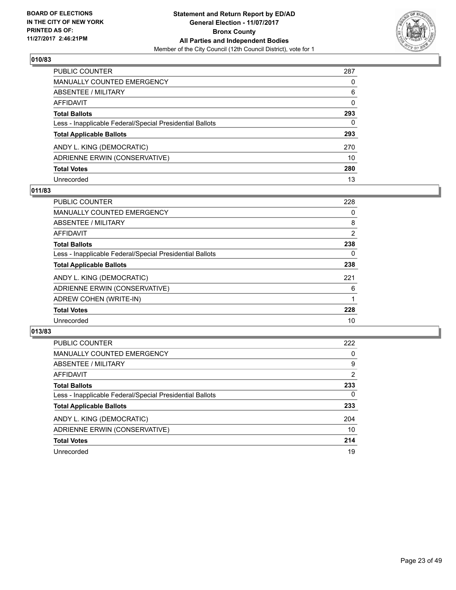

| PUBLIC COUNTER                                           | 287          |
|----------------------------------------------------------|--------------|
| <b>MANUALLY COUNTED EMERGENCY</b>                        | 0            |
| <b>ABSENTEE / MILITARY</b>                               | 6            |
| AFFIDAVIT                                                | $\mathbf{0}$ |
| <b>Total Ballots</b>                                     | 293          |
| Less - Inapplicable Federal/Special Presidential Ballots | 0            |
| <b>Total Applicable Ballots</b>                          | 293          |
| ANDY L. KING (DEMOCRATIC)                                | 270          |
| ADRIENNE ERWIN (CONSERVATIVE)                            | 10           |
| <b>Total Votes</b>                                       | 280          |
| Unrecorded                                               | 13           |

#### **011/83**

| <b>PUBLIC COUNTER</b>                                    | 228 |
|----------------------------------------------------------|-----|
| <b>MANUALLY COUNTED EMERGENCY</b>                        | 0   |
| ABSENTEE / MILITARY                                      | 8   |
| AFFIDAVIT                                                | 2   |
| <b>Total Ballots</b>                                     | 238 |
| Less - Inapplicable Federal/Special Presidential Ballots | 0   |
| <b>Total Applicable Ballots</b>                          | 238 |
| ANDY L. KING (DEMOCRATIC)                                | 221 |
| ADRIENNE ERWIN (CONSERVATIVE)                            | 6   |
| ADREW COHEN (WRITE-IN)                                   |     |
| <b>Total Votes</b>                                       | 228 |
| Unrecorded                                               | 10  |

| <b>PUBLIC COUNTER</b>                                    | 222            |
|----------------------------------------------------------|----------------|
| MANUALLY COUNTED EMERGENCY                               | 0              |
| ABSENTEE / MILITARY                                      | 9              |
| AFFIDAVIT                                                | $\overline{2}$ |
| <b>Total Ballots</b>                                     | 233            |
| Less - Inapplicable Federal/Special Presidential Ballots | 0              |
| <b>Total Applicable Ballots</b>                          | 233            |
| ANDY L. KING (DEMOCRATIC)                                | 204            |
| ADRIENNE ERWIN (CONSERVATIVE)                            | 10             |
| <b>Total Votes</b>                                       | 214            |
| Unrecorded                                               | 19             |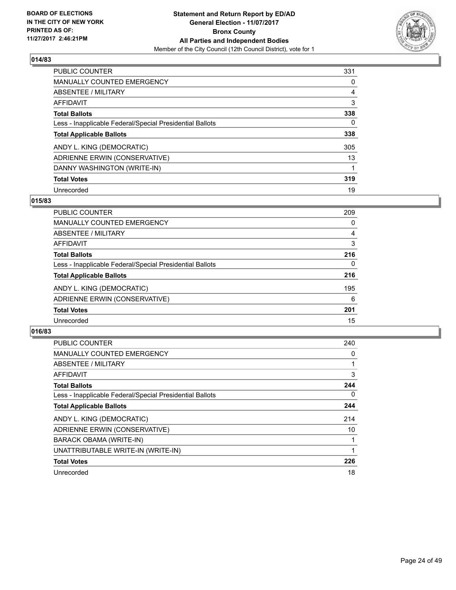

| <b>PUBLIC COUNTER</b>                                    | 331 |
|----------------------------------------------------------|-----|
| <b>MANUALLY COUNTED EMERGENCY</b>                        | 0   |
| ABSENTEE / MILITARY                                      | 4   |
| AFFIDAVIT                                                | 3   |
| <b>Total Ballots</b>                                     | 338 |
| Less - Inapplicable Federal/Special Presidential Ballots | 0   |
| <b>Total Applicable Ballots</b>                          | 338 |
| ANDY L. KING (DEMOCRATIC)                                | 305 |
| ADRIENNE ERWIN (CONSERVATIVE)                            | 13  |
| DANNY WASHINGTON (WRITE-IN)                              |     |
| <b>Total Votes</b>                                       | 319 |
| Unrecorded                                               | 19  |

#### **015/83**

| <b>PUBLIC COUNTER</b>                                    | 209 |
|----------------------------------------------------------|-----|
| <b>MANUALLY COUNTED EMERGENCY</b>                        | 0   |
| ABSENTEE / MILITARY                                      | 4   |
| <b>AFFIDAVIT</b>                                         | 3   |
| <b>Total Ballots</b>                                     | 216 |
| Less - Inapplicable Federal/Special Presidential Ballots | 0   |
| <b>Total Applicable Ballots</b>                          | 216 |
| ANDY L. KING (DEMOCRATIC)                                | 195 |
| ADRIENNE ERWIN (CONSERVATIVE)                            | 6   |
| <b>Total Votes</b>                                       | 201 |
| Unrecorded                                               | 15  |

| PUBLIC COUNTER                                           | 240 |
|----------------------------------------------------------|-----|
| <b>MANUALLY COUNTED EMERGENCY</b>                        | 0   |
| ABSENTEE / MILITARY                                      |     |
| <b>AFFIDAVIT</b>                                         | 3   |
| <b>Total Ballots</b>                                     | 244 |
| Less - Inapplicable Federal/Special Presidential Ballots | 0   |
| <b>Total Applicable Ballots</b>                          | 244 |
| ANDY L. KING (DEMOCRATIC)                                | 214 |
| ADRIENNE ERWIN (CONSERVATIVE)                            | 10  |
| BARACK OBAMA (WRITE-IN)                                  |     |
| UNATTRIBUTABLE WRITE-IN (WRITE-IN)                       |     |
| <b>Total Votes</b>                                       | 226 |
| Unrecorded                                               | 18  |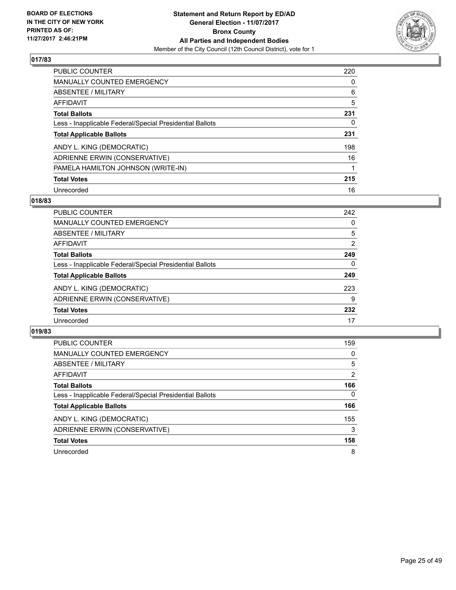

| <b>PUBLIC COUNTER</b>                                    | 220 |
|----------------------------------------------------------|-----|
| <b>MANUALLY COUNTED EMERGENCY</b>                        | 0   |
| ABSENTEE / MILITARY                                      | 6   |
| AFFIDAVIT                                                | 5   |
| <b>Total Ballots</b>                                     | 231 |
| Less - Inapplicable Federal/Special Presidential Ballots | 0   |
| <b>Total Applicable Ballots</b>                          | 231 |
| ANDY L. KING (DEMOCRATIC)                                | 198 |
| ADRIENNE ERWIN (CONSERVATIVE)                            | 16  |
| PAMELA HAMILTON JOHNSON (WRITE-IN)                       | 1   |
| <b>Total Votes</b>                                       | 215 |
| Unrecorded                                               | 16  |

## **018/83**

| <b>PUBLIC COUNTER</b>                                    | 242 |
|----------------------------------------------------------|-----|
| <b>MANUALLY COUNTED EMERGENCY</b>                        | 0   |
| ABSENTEE / MILITARY                                      | 5   |
| AFFIDAVIT                                                | 2   |
| <b>Total Ballots</b>                                     | 249 |
| Less - Inapplicable Federal/Special Presidential Ballots | 0   |
| <b>Total Applicable Ballots</b>                          | 249 |
| ANDY L. KING (DEMOCRATIC)                                | 223 |
| ADRIENNE ERWIN (CONSERVATIVE)                            | 9   |
| <b>Total Votes</b>                                       | 232 |
| Unrecorded                                               | 17  |

| <b>PUBLIC COUNTER</b>                                    | 159 |
|----------------------------------------------------------|-----|
| MANUALLY COUNTED EMERGENCY                               | 0   |
| ABSENTEE / MILITARY                                      | 5   |
| AFFIDAVIT                                                | 2   |
| <b>Total Ballots</b>                                     | 166 |
| Less - Inapplicable Federal/Special Presidential Ballots | 0   |
| <b>Total Applicable Ballots</b>                          | 166 |
| ANDY L. KING (DEMOCRATIC)                                | 155 |
| ADRIENNE ERWIN (CONSERVATIVE)                            | 3   |
| <b>Total Votes</b>                                       | 158 |
| Unrecorded                                               | 8   |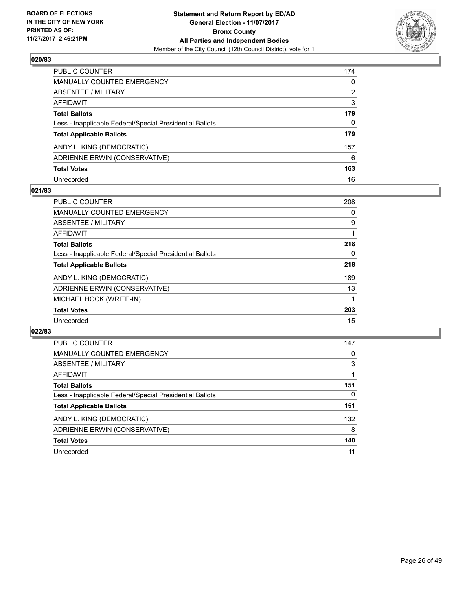

| PUBLIC COUNTER                                           | 174 |
|----------------------------------------------------------|-----|
| <b>MANUALLY COUNTED EMERGENCY</b>                        | 0   |
| ABSENTEE / MILITARY                                      | 2   |
| AFFIDAVIT                                                | 3   |
| <b>Total Ballots</b>                                     | 179 |
| Less - Inapplicable Federal/Special Presidential Ballots | 0   |
| <b>Total Applicable Ballots</b>                          | 179 |
| ANDY L. KING (DEMOCRATIC)                                | 157 |
| ADRIENNE ERWIN (CONSERVATIVE)                            | 6   |
| <b>Total Votes</b>                                       | 163 |
| Unrecorded                                               | 16  |

#### **021/83**

| <b>PUBLIC COUNTER</b>                                    | 208 |
|----------------------------------------------------------|-----|
| <b>MANUALLY COUNTED EMERGENCY</b>                        | 0   |
| ABSENTEE / MILITARY                                      | 9   |
| <b>AFFIDAVIT</b>                                         |     |
| <b>Total Ballots</b>                                     | 218 |
| Less - Inapplicable Federal/Special Presidential Ballots | 0   |
| <b>Total Applicable Ballots</b>                          | 218 |
| ANDY L. KING (DEMOCRATIC)                                | 189 |
| ADRIENNE ERWIN (CONSERVATIVE)                            | 13  |
| MICHAEL HOCK (WRITE-IN)                                  |     |
| <b>Total Votes</b>                                       | 203 |
| Unrecorded                                               | 15  |

| <b>PUBLIC COUNTER</b>                                    | 147 |
|----------------------------------------------------------|-----|
| <b>MANUALLY COUNTED EMERGENCY</b>                        | 0   |
| ABSENTEE / MILITARY                                      | 3   |
| AFFIDAVIT                                                |     |
| <b>Total Ballots</b>                                     | 151 |
| Less - Inapplicable Federal/Special Presidential Ballots | 0   |
| <b>Total Applicable Ballots</b>                          | 151 |
| ANDY L. KING (DEMOCRATIC)                                | 132 |
| ADRIENNE ERWIN (CONSERVATIVE)                            | 8   |
| <b>Total Votes</b>                                       | 140 |
| Unrecorded                                               | 11  |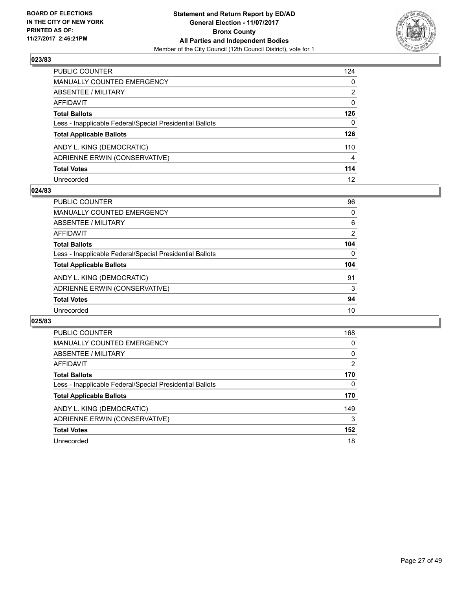

| PUBLIC COUNTER                                           | 124          |
|----------------------------------------------------------|--------------|
| <b>MANUALLY COUNTED EMERGENCY</b>                        | 0            |
| <b>ABSENTEE / MILITARY</b>                               | 2            |
| AFFIDAVIT                                                | $\mathbf{0}$ |
| <b>Total Ballots</b>                                     | 126          |
| Less - Inapplicable Federal/Special Presidential Ballots | $\mathbf{0}$ |
| <b>Total Applicable Ballots</b>                          | 126          |
| ANDY L. KING (DEMOCRATIC)                                | 110          |
| ADRIENNE ERWIN (CONSERVATIVE)                            | 4            |
| <b>Total Votes</b>                                       | 114          |
| Unrecorded                                               | 12           |

#### **024/83**

| <b>PUBLIC COUNTER</b>                                    | 96       |
|----------------------------------------------------------|----------|
| <b>MANUALLY COUNTED EMERGENCY</b>                        | 0        |
| ABSENTEE / MILITARY                                      | 6        |
| AFFIDAVIT                                                | 2        |
| <b>Total Ballots</b>                                     | 104      |
| Less - Inapplicable Federal/Special Presidential Ballots | $\Omega$ |
| <b>Total Applicable Ballots</b>                          | 104      |
| ANDY L. KING (DEMOCRATIC)                                | 91       |
| ADRIENNE ERWIN (CONSERVATIVE)                            | 3        |
| <b>Total Votes</b>                                       | 94       |
| Unrecorded                                               | 10       |

| <b>PUBLIC COUNTER</b>                                    | 168 |
|----------------------------------------------------------|-----|
| MANUALLY COUNTED EMERGENCY                               | 0   |
| ABSENTEE / MILITARY                                      | 0   |
| AFFIDAVIT                                                | 2   |
| <b>Total Ballots</b>                                     | 170 |
| Less - Inapplicable Federal/Special Presidential Ballots | 0   |
| <b>Total Applicable Ballots</b>                          | 170 |
| ANDY L. KING (DEMOCRATIC)                                | 149 |
| ADRIENNE ERWIN (CONSERVATIVE)                            | 3   |
| <b>Total Votes</b>                                       | 152 |
| Unrecorded                                               | 18  |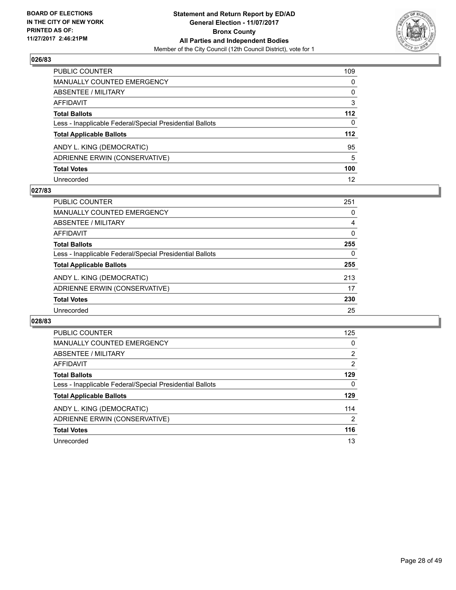

| PUBLIC COUNTER                                           | 109          |
|----------------------------------------------------------|--------------|
| <b>MANUALLY COUNTED EMERGENCY</b>                        | 0            |
| ABSENTEE / MILITARY                                      | 0            |
| <b>AFFIDAVIT</b>                                         | 3            |
| <b>Total Ballots</b>                                     | 112          |
| Less - Inapplicable Federal/Special Presidential Ballots | $\mathbf{0}$ |
| <b>Total Applicable Ballots</b>                          | 112          |
| ANDY L. KING (DEMOCRATIC)                                | 95           |
| ADRIENNE ERWIN (CONSERVATIVE)                            | 5            |
| <b>Total Votes</b>                                       | 100          |
| Unrecorded                                               | 12           |

#### **027/83**

| <b>PUBLIC COUNTER</b>                                    | 251 |
|----------------------------------------------------------|-----|
| <b>MANUALLY COUNTED EMERGENCY</b>                        | 0   |
| ABSENTEE / MILITARY                                      | 4   |
| AFFIDAVIT                                                | 0   |
| <b>Total Ballots</b>                                     | 255 |
| Less - Inapplicable Federal/Special Presidential Ballots | 0   |
| <b>Total Applicable Ballots</b>                          | 255 |
| ANDY L. KING (DEMOCRATIC)                                | 213 |
| ADRIENNE ERWIN (CONSERVATIVE)                            | 17  |
| <b>Total Votes</b>                                       | 230 |
| Unrecorded                                               | 25  |

| <b>PUBLIC COUNTER</b>                                    | 125            |
|----------------------------------------------------------|----------------|
| MANUALLY COUNTED EMERGENCY                               | 0              |
| ABSENTEE / MILITARY                                      | $\overline{2}$ |
| AFFIDAVIT                                                | 2              |
| <b>Total Ballots</b>                                     | 129            |
| Less - Inapplicable Federal/Special Presidential Ballots | 0              |
| <b>Total Applicable Ballots</b>                          | 129            |
| ANDY L. KING (DEMOCRATIC)                                | 114            |
| ADRIENNE ERWIN (CONSERVATIVE)                            | 2              |
| <b>Total Votes</b>                                       | 116            |
| Unrecorded                                               | 13             |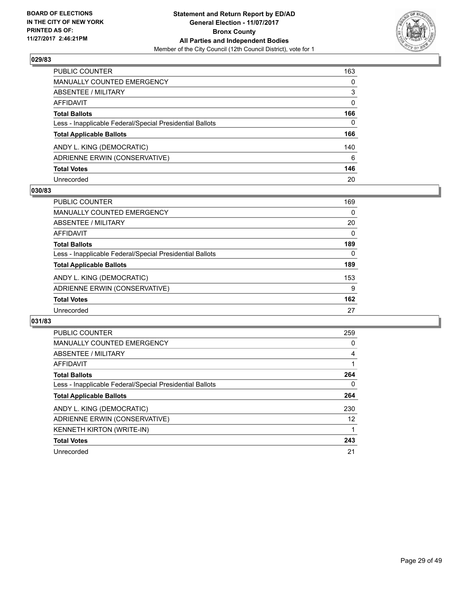

| PUBLIC COUNTER                                           | 163      |
|----------------------------------------------------------|----------|
| <b>MANUALLY COUNTED EMERGENCY</b>                        | 0        |
| <b>ABSENTEE / MILITARY</b>                               | 3        |
| <b>AFFIDAVIT</b>                                         | $\Omega$ |
| <b>Total Ballots</b>                                     | 166      |
| Less - Inapplicable Federal/Special Presidential Ballots | 0        |
| <b>Total Applicable Ballots</b>                          | 166      |
| ANDY L. KING (DEMOCRATIC)                                | 140      |
| ADRIENNE ERWIN (CONSERVATIVE)                            | 6        |
| <b>Total Votes</b>                                       | 146      |
| Unrecorded                                               | 20       |

#### **030/83**

| <b>PUBLIC COUNTER</b>                                    | 169 |
|----------------------------------------------------------|-----|
| <b>MANUALLY COUNTED EMERGENCY</b>                        | 0   |
| ABSENTEE / MILITARY                                      | 20  |
| AFFIDAVIT                                                | 0   |
| <b>Total Ballots</b>                                     | 189 |
| Less - Inapplicable Federal/Special Presidential Ballots | 0   |
| <b>Total Applicable Ballots</b>                          | 189 |
| ANDY L. KING (DEMOCRATIC)                                | 153 |
| ADRIENNE ERWIN (CONSERVATIVE)                            | 9   |
| <b>Total Votes</b>                                       | 162 |
| Unrecorded                                               | 27  |

| <b>PUBLIC COUNTER</b>                                    | 259 |
|----------------------------------------------------------|-----|
| <b>MANUALLY COUNTED EMERGENCY</b>                        | 0   |
| ABSENTEE / MILITARY                                      | 4   |
| AFFIDAVIT                                                |     |
| <b>Total Ballots</b>                                     | 264 |
| Less - Inapplicable Federal/Special Presidential Ballots | 0   |
| <b>Total Applicable Ballots</b>                          | 264 |
| ANDY L. KING (DEMOCRATIC)                                | 230 |
| ADRIENNE ERWIN (CONSERVATIVE)                            | 12  |
| <b>KENNETH KIRTON (WRITE-IN)</b>                         |     |
| <b>Total Votes</b>                                       | 243 |
| Unrecorded                                               | 21  |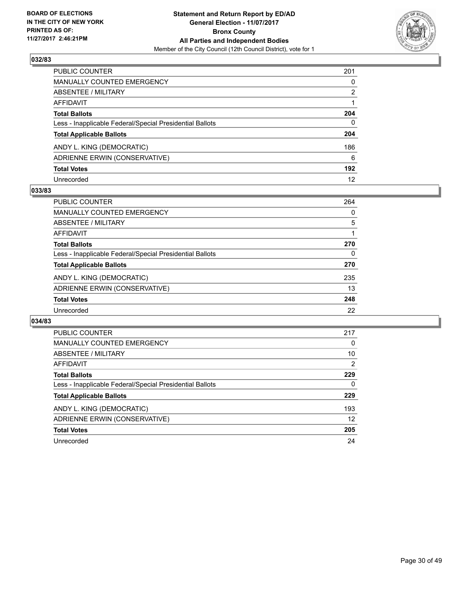

| PUBLIC COUNTER                                           | 201          |
|----------------------------------------------------------|--------------|
| <b>MANUALLY COUNTED EMERGENCY</b>                        | 0            |
| <b>ABSENTEE / MILITARY</b>                               | 2            |
| AFFIDAVIT                                                |              |
| <b>Total Ballots</b>                                     | 204          |
| Less - Inapplicable Federal/Special Presidential Ballots | $\mathbf{0}$ |
| <b>Total Applicable Ballots</b>                          | 204          |
| ANDY L. KING (DEMOCRATIC)                                | 186          |
| ADRIENNE ERWIN (CONSERVATIVE)                            | 6            |
| <b>Total Votes</b>                                       | 192          |
| Unrecorded                                               | 12           |

#### **033/83**

| PUBLIC COUNTER                                           | 264 |
|----------------------------------------------------------|-----|
| <b>MANUALLY COUNTED EMERGENCY</b>                        | 0   |
| <b>ABSENTEE / MILITARY</b>                               | 5   |
| AFFIDAVIT                                                |     |
| <b>Total Ballots</b>                                     | 270 |
| Less - Inapplicable Federal/Special Presidential Ballots | 0   |
| <b>Total Applicable Ballots</b>                          | 270 |
| ANDY L. KING (DEMOCRATIC)                                | 235 |
| ADRIENNE ERWIN (CONSERVATIVE)                            | 13  |
| <b>Total Votes</b>                                       | 248 |
| Unrecorded                                               | 22  |

| <b>PUBLIC COUNTER</b>                                    | 217            |
|----------------------------------------------------------|----------------|
| <b>MANUALLY COUNTED EMERGENCY</b>                        | 0              |
| ABSENTEE / MILITARY                                      | 10             |
| <b>AFFIDAVIT</b>                                         | $\overline{2}$ |
| <b>Total Ballots</b>                                     | 229            |
| Less - Inapplicable Federal/Special Presidential Ballots | 0              |
| <b>Total Applicable Ballots</b>                          | 229            |
| ANDY L. KING (DEMOCRATIC)                                | 193            |
| ADRIENNE ERWIN (CONSERVATIVE)                            | 12             |
| <b>Total Votes</b>                                       | 205            |
| Unrecorded                                               | 24             |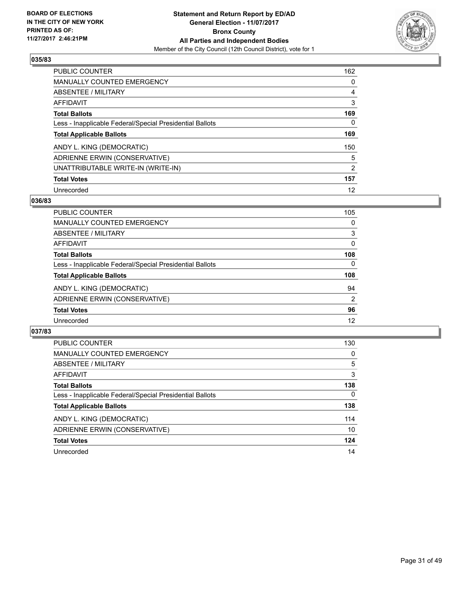

| <b>PUBLIC COUNTER</b>                                    | 162            |
|----------------------------------------------------------|----------------|
| MANUALLY COUNTED EMERGENCY                               | 0              |
| ABSENTEE / MILITARY                                      | 4              |
| AFFIDAVIT                                                | 3              |
| <b>Total Ballots</b>                                     | 169            |
| Less - Inapplicable Federal/Special Presidential Ballots | 0              |
| <b>Total Applicable Ballots</b>                          | 169            |
| ANDY L. KING (DEMOCRATIC)                                | 150            |
| ADRIENNE ERWIN (CONSERVATIVE)                            | 5              |
| UNATTRIBUTABLE WRITE-IN (WRITE-IN)                       | $\overline{2}$ |
| <b>Total Votes</b>                                       | 157            |
| Unrecorded                                               | 12             |

#### **036/83**

| PUBLIC COUNTER                                           | 105 |
|----------------------------------------------------------|-----|
| MANUALLY COUNTED EMERGENCY                               | 0   |
| ABSENTEE / MILITARY                                      | 3   |
| AFFIDAVIT                                                | 0   |
| <b>Total Ballots</b>                                     | 108 |
| Less - Inapplicable Federal/Special Presidential Ballots | 0   |
| <b>Total Applicable Ballots</b>                          | 108 |
| ANDY L. KING (DEMOCRATIC)                                | 94  |
| ADRIENNE ERWIN (CONSERVATIVE)                            | 2   |
| <b>Total Votes</b>                                       | 96  |
| Unrecorded                                               | 12  |

| <b>PUBLIC COUNTER</b>                                    | 130      |
|----------------------------------------------------------|----------|
| <b>MANUALLY COUNTED EMERGENCY</b>                        | 0        |
| ABSENTEE / MILITARY                                      | 5        |
| AFFIDAVIT                                                | 3        |
| <b>Total Ballots</b>                                     | 138      |
| Less - Inapplicable Federal/Special Presidential Ballots | $\Omega$ |
| <b>Total Applicable Ballots</b>                          | 138      |
| ANDY L. KING (DEMOCRATIC)                                | 114      |
| ADRIENNE ERWIN (CONSERVATIVE)                            | 10       |
| <b>Total Votes</b>                                       | 124      |
| Unrecorded                                               | 14       |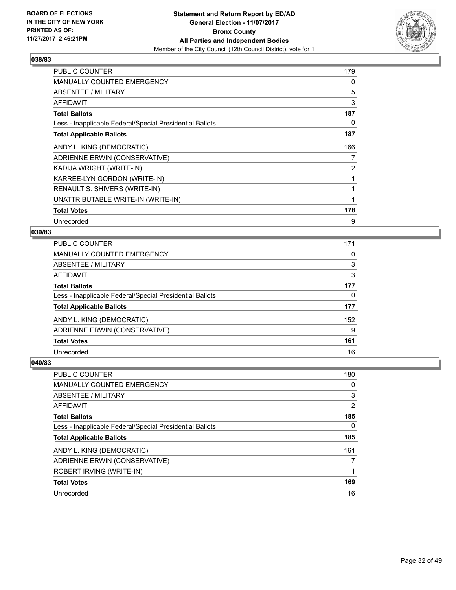

| <b>PUBLIC COUNTER</b>                                    | 179            |
|----------------------------------------------------------|----------------|
| <b>MANUALLY COUNTED EMERGENCY</b>                        | 0              |
| ABSENTEE / MILITARY                                      | 5              |
| AFFIDAVIT                                                | 3              |
| <b>Total Ballots</b>                                     | 187            |
| Less - Inapplicable Federal/Special Presidential Ballots | 0              |
| <b>Total Applicable Ballots</b>                          | 187            |
| ANDY L. KING (DEMOCRATIC)                                | 166            |
| ADRIENNE ERWIN (CONSERVATIVE)                            | 7              |
| KADIJA WRIGHT (WRITE-IN)                                 | $\overline{2}$ |
| KARREE-LYN GORDON (WRITE-IN)                             |                |
| RENAULT S. SHIVERS (WRITE-IN)                            |                |
| UNATTRIBUTABLE WRITE-IN (WRITE-IN)                       | 1              |
| <b>Total Votes</b>                                       | 178            |
| Unrecorded                                               | 9              |

#### **039/83**

| PUBLIC COUNTER                                           | 171      |
|----------------------------------------------------------|----------|
| <b>MANUALLY COUNTED EMERGENCY</b>                        | 0        |
| <b>ABSENTEE / MILITARY</b>                               | 3        |
| <b>AFFIDAVIT</b>                                         | 3        |
| <b>Total Ballots</b>                                     | 177      |
| Less - Inapplicable Federal/Special Presidential Ballots | $\Omega$ |
| <b>Total Applicable Ballots</b>                          | 177      |
| ANDY L. KING (DEMOCRATIC)                                | 152      |
| ADRIENNE ERWIN (CONSERVATIVE)                            | 9        |
| <b>Total Votes</b>                                       | 161      |
| Unrecorded                                               | 16       |
|                                                          |          |

| PUBLIC COUNTER                                           | 180 |
|----------------------------------------------------------|-----|
| <b>MANUALLY COUNTED EMERGENCY</b>                        | 0   |
| ABSENTEE / MILITARY                                      | 3   |
| AFFIDAVIT                                                | 2   |
| <b>Total Ballots</b>                                     | 185 |
| Less - Inapplicable Federal/Special Presidential Ballots | 0   |
| <b>Total Applicable Ballots</b>                          | 185 |
| ANDY L. KING (DEMOCRATIC)                                | 161 |
| ADRIENNE ERWIN (CONSERVATIVE)                            |     |
| ROBERT IRVING (WRITE-IN)                                 |     |
| <b>Total Votes</b>                                       | 169 |
| Unrecorded                                               | 16  |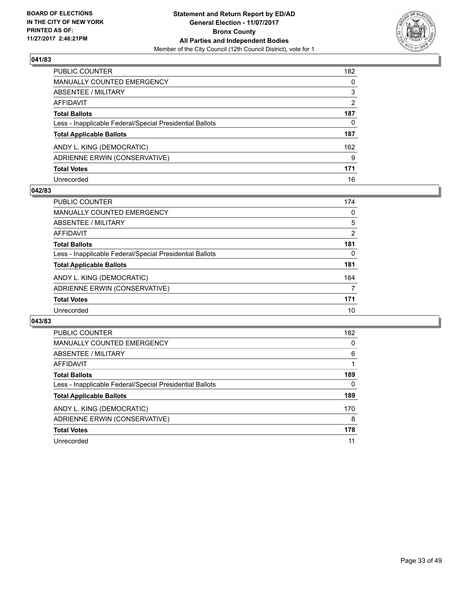

| PUBLIC COUNTER                                           | 182 |
|----------------------------------------------------------|-----|
| <b>MANUALLY COUNTED EMERGENCY</b>                        | 0   |
| <b>ABSENTEE / MILITARY</b>                               | 3   |
| <b>AFFIDAVIT</b>                                         | 2   |
| <b>Total Ballots</b>                                     | 187 |
| Less - Inapplicable Federal/Special Presidential Ballots | 0   |
| <b>Total Applicable Ballots</b>                          | 187 |
| ANDY L. KING (DEMOCRATIC)                                | 162 |
| ADRIENNE ERWIN (CONSERVATIVE)                            | 9   |
| <b>Total Votes</b>                                       | 171 |
| Unrecorded                                               | 16  |

#### **042/83**

| <b>PUBLIC COUNTER</b>                                    | 174 |
|----------------------------------------------------------|-----|
| MANUALLY COUNTED EMERGENCY                               | 0   |
| ABSENTEE / MILITARY                                      | 5   |
| AFFIDAVIT                                                | 2   |
| <b>Total Ballots</b>                                     | 181 |
| Less - Inapplicable Federal/Special Presidential Ballots | 0   |
| <b>Total Applicable Ballots</b>                          | 181 |
| ANDY L. KING (DEMOCRATIC)                                | 164 |
| ADRIENNE ERWIN (CONSERVATIVE)                            | 7   |
| <b>Total Votes</b>                                       | 171 |
| Unrecorded                                               | 10  |

| PUBLIC COUNTER                                           | 182 |
|----------------------------------------------------------|-----|
| <b>MANUALLY COUNTED EMERGENCY</b>                        | 0   |
| ABSENTEE / MILITARY                                      | 6   |
| <b>AFFIDAVIT</b>                                         |     |
| <b>Total Ballots</b>                                     | 189 |
| Less - Inapplicable Federal/Special Presidential Ballots | 0   |
| <b>Total Applicable Ballots</b>                          | 189 |
| ANDY L. KING (DEMOCRATIC)                                | 170 |
| ADRIENNE ERWIN (CONSERVATIVE)                            | 8   |
| <b>Total Votes</b>                                       | 178 |
| Unrecorded                                               | 11  |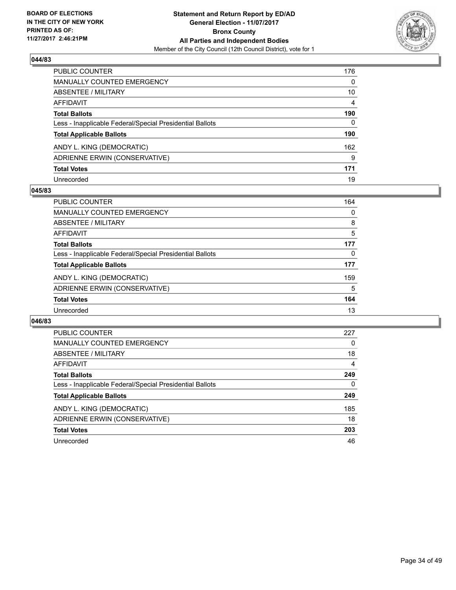

| PUBLIC COUNTER                                           | 176 |
|----------------------------------------------------------|-----|
| <b>MANUALLY COUNTED EMERGENCY</b>                        | 0   |
| <b>ABSENTEE / MILITARY</b>                               | 10  |
| <b>AFFIDAVIT</b>                                         | 4   |
| <b>Total Ballots</b>                                     | 190 |
| Less - Inapplicable Federal/Special Presidential Ballots | 0   |
| <b>Total Applicable Ballots</b>                          | 190 |
| ANDY L. KING (DEMOCRATIC)                                | 162 |
| ADRIENNE ERWIN (CONSERVATIVE)                            | 9   |
| <b>Total Votes</b>                                       | 171 |
| Unrecorded                                               | 19  |

#### **045/83**

| <b>PUBLIC COUNTER</b>                                    | 164 |
|----------------------------------------------------------|-----|
| <b>MANUALLY COUNTED EMERGENCY</b>                        | 0   |
| ABSENTEE / MILITARY                                      | 8   |
| AFFIDAVIT                                                | 5   |
| <b>Total Ballots</b>                                     | 177 |
| Less - Inapplicable Federal/Special Presidential Ballots | 0   |
| <b>Total Applicable Ballots</b>                          | 177 |
| ANDY L. KING (DEMOCRATIC)                                | 159 |
| ADRIENNE ERWIN (CONSERVATIVE)                            | 5   |
| <b>Total Votes</b>                                       | 164 |
| Unrecorded                                               | 13  |

| <b>PUBLIC COUNTER</b>                                    | 227 |
|----------------------------------------------------------|-----|
| <b>MANUALLY COUNTED EMERGENCY</b>                        | 0   |
| ABSENTEE / MILITARY                                      | 18  |
| <b>AFFIDAVIT</b>                                         | 4   |
| <b>Total Ballots</b>                                     | 249 |
| Less - Inapplicable Federal/Special Presidential Ballots | 0   |
| <b>Total Applicable Ballots</b>                          | 249 |
| ANDY L. KING (DEMOCRATIC)                                | 185 |
| ADRIENNE ERWIN (CONSERVATIVE)                            | 18  |
| <b>Total Votes</b>                                       | 203 |
| Unrecorded                                               | 46  |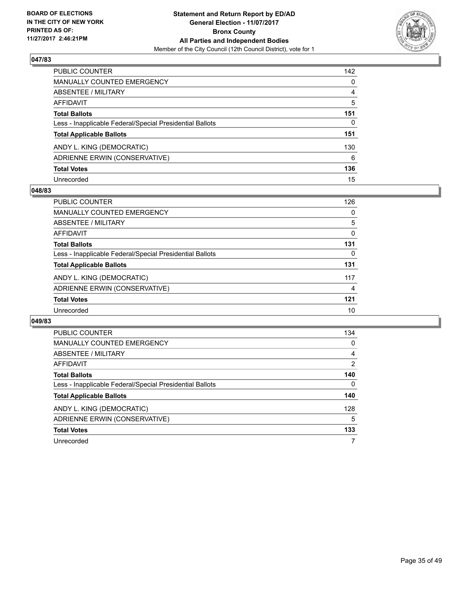

| PUBLIC COUNTER                                           | 142 |
|----------------------------------------------------------|-----|
| <b>MANUALLY COUNTED EMERGENCY</b>                        | 0   |
| <b>ABSENTEE / MILITARY</b>                               | 4   |
| <b>AFFIDAVIT</b>                                         | 5   |
| <b>Total Ballots</b>                                     | 151 |
| Less - Inapplicable Federal/Special Presidential Ballots | 0   |
| <b>Total Applicable Ballots</b>                          | 151 |
| ANDY L. KING (DEMOCRATIC)                                | 130 |
| ADRIENNE ERWIN (CONSERVATIVE)                            | 6   |
| <b>Total Votes</b>                                       | 136 |
| Unrecorded                                               | 15  |

#### **048/83**

| <b>PUBLIC COUNTER</b>                                    | 126 |
|----------------------------------------------------------|-----|
| <b>MANUALLY COUNTED EMERGENCY</b>                        | 0   |
| ABSENTEE / MILITARY                                      | 5   |
| AFFIDAVIT                                                | 0   |
| <b>Total Ballots</b>                                     | 131 |
| Less - Inapplicable Federal/Special Presidential Ballots | 0   |
| <b>Total Applicable Ballots</b>                          | 131 |
| ANDY L. KING (DEMOCRATIC)                                | 117 |
| ADRIENNE ERWIN (CONSERVATIVE)                            | 4   |
| <b>Total Votes</b>                                       | 121 |
| Unrecorded                                               | 10  |

| <b>PUBLIC COUNTER</b>                                    | 134 |
|----------------------------------------------------------|-----|
| <b>MANUALLY COUNTED EMERGENCY</b>                        | 0   |
| ABSENTEE / MILITARY                                      | 4   |
| AFFIDAVIT                                                | 2   |
| <b>Total Ballots</b>                                     | 140 |
| Less - Inapplicable Federal/Special Presidential Ballots | 0   |
| <b>Total Applicable Ballots</b>                          | 140 |
| ANDY L. KING (DEMOCRATIC)                                | 128 |
| ADRIENNE ERWIN (CONSERVATIVE)                            | 5   |
| <b>Total Votes</b>                                       | 133 |
| Unrecorded                                               |     |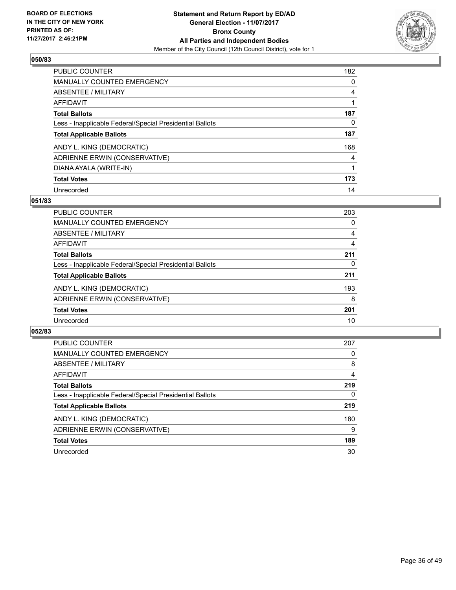

| <b>PUBLIC COUNTER</b>                                    | 182 |
|----------------------------------------------------------|-----|
| <b>MANUALLY COUNTED EMERGENCY</b>                        | 0   |
| ABSENTEE / MILITARY                                      | 4   |
| AFFIDAVIT                                                |     |
| <b>Total Ballots</b>                                     | 187 |
| Less - Inapplicable Federal/Special Presidential Ballots | 0   |
| <b>Total Applicable Ballots</b>                          | 187 |
| ANDY L. KING (DEMOCRATIC)                                | 168 |
| ADRIENNE ERWIN (CONSERVATIVE)                            | 4   |
| DIANA AYALA (WRITE-IN)                                   |     |
| <b>Total Votes</b>                                       | 173 |
| Unrecorded                                               | 14  |

#### **051/83**

| <b>PUBLIC COUNTER</b>                                    | 203 |
|----------------------------------------------------------|-----|
| MANUALLY COUNTED EMERGENCY                               | 0   |
| ABSENTEE / MILITARY                                      | 4   |
| <b>AFFIDAVIT</b>                                         | 4   |
| <b>Total Ballots</b>                                     | 211 |
| Less - Inapplicable Federal/Special Presidential Ballots | 0   |
| <b>Total Applicable Ballots</b>                          | 211 |
| ANDY L. KING (DEMOCRATIC)                                | 193 |
| ADRIENNE ERWIN (CONSERVATIVE)                            | 8   |
| <b>Total Votes</b>                                       | 201 |
| Unrecorded                                               | 10  |

| <b>PUBLIC COUNTER</b>                                    | 207 |
|----------------------------------------------------------|-----|
| <b>MANUALLY COUNTED EMERGENCY</b>                        | 0   |
| ABSENTEE / MILITARY                                      | 8   |
| AFFIDAVIT                                                | 4   |
| <b>Total Ballots</b>                                     | 219 |
| Less - Inapplicable Federal/Special Presidential Ballots | 0   |
| <b>Total Applicable Ballots</b>                          | 219 |
| ANDY L. KING (DEMOCRATIC)                                | 180 |
| ADRIENNE ERWIN (CONSERVATIVE)                            | 9   |
| <b>Total Votes</b>                                       | 189 |
| Unrecorded                                               | 30  |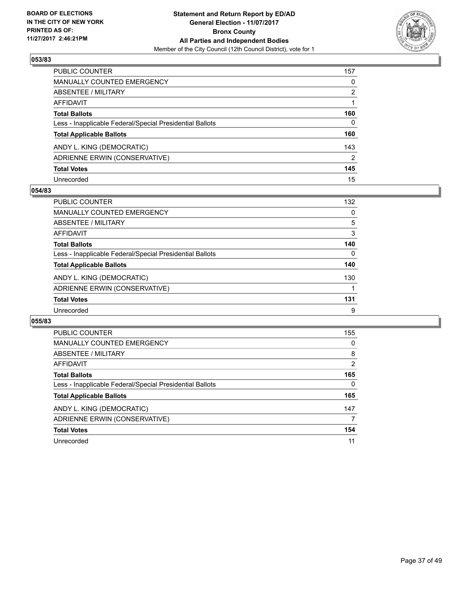

| PUBLIC COUNTER                                           | 157 |
|----------------------------------------------------------|-----|
| <b>MANUALLY COUNTED EMERGENCY</b>                        | 0   |
| <b>ABSENTEE / MILITARY</b>                               | 2   |
| AFFIDAVIT                                                |     |
| <b>Total Ballots</b>                                     | 160 |
| Less - Inapplicable Federal/Special Presidential Ballots | 0   |
| <b>Total Applicable Ballots</b>                          | 160 |
| ANDY L. KING (DEMOCRATIC)                                | 143 |
| ADRIENNE ERWIN (CONSERVATIVE)                            | 2   |
| <b>Total Votes</b>                                       | 145 |
| Unrecorded                                               | 15  |

#### **054/83**

| <b>PUBLIC COUNTER</b>                                    | 132 |
|----------------------------------------------------------|-----|
| <b>MANUALLY COUNTED EMERGENCY</b>                        | 0   |
| ABSENTEE / MILITARY                                      | 5   |
| AFFIDAVIT                                                | 3   |
| <b>Total Ballots</b>                                     | 140 |
| Less - Inapplicable Federal/Special Presidential Ballots | 0   |
| <b>Total Applicable Ballots</b>                          | 140 |
| ANDY L. KING (DEMOCRATIC)                                | 130 |
| ADRIENNE ERWIN (CONSERVATIVE)                            |     |
| <b>Total Votes</b>                                       | 131 |
| Unrecorded                                               | 9   |

| PUBLIC COUNTER                                           | 155            |
|----------------------------------------------------------|----------------|
| <b>MANUALLY COUNTED EMERGENCY</b>                        | 0              |
| ABSENTEE / MILITARY                                      | 8              |
| AFFIDAVIT                                                | $\overline{2}$ |
| <b>Total Ballots</b>                                     | 165            |
| Less - Inapplicable Federal/Special Presidential Ballots | 0              |
| <b>Total Applicable Ballots</b>                          | 165            |
| ANDY L. KING (DEMOCRATIC)                                | 147            |
| ADRIENNE ERWIN (CONSERVATIVE)                            | 7              |
| <b>Total Votes</b>                                       | 154            |
| Unrecorded                                               | 11             |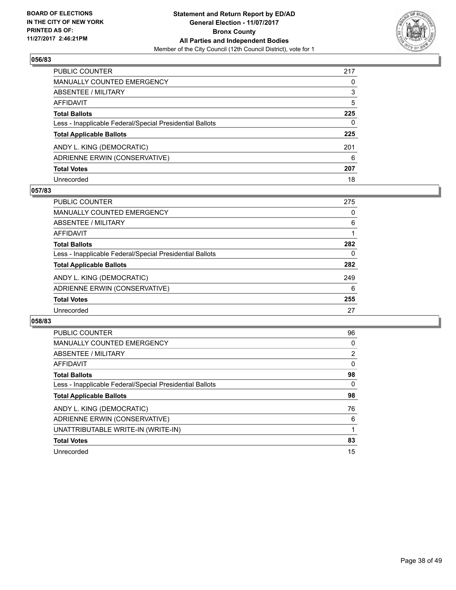

| PUBLIC COUNTER                                           | 217 |
|----------------------------------------------------------|-----|
| <b>MANUALLY COUNTED EMERGENCY</b>                        | 0   |
| <b>ABSENTEE / MILITARY</b>                               | 3   |
| AFFIDAVIT                                                | 5   |
| <b>Total Ballots</b>                                     | 225 |
| Less - Inapplicable Federal/Special Presidential Ballots | 0   |
| <b>Total Applicable Ballots</b>                          | 225 |
| ANDY L. KING (DEMOCRATIC)                                | 201 |
| ADRIENNE ERWIN (CONSERVATIVE)                            | 6   |
| <b>Total Votes</b>                                       | 207 |
| Unrecorded                                               | 18  |

#### **057/83**

| <b>PUBLIC COUNTER</b>                                    | 275 |
|----------------------------------------------------------|-----|
| <b>MANUALLY COUNTED EMERGENCY</b>                        | 0   |
| ABSENTEE / MILITARY                                      | 6   |
| AFFIDAVIT                                                |     |
| <b>Total Ballots</b>                                     | 282 |
| Less - Inapplicable Federal/Special Presidential Ballots | 0   |
| <b>Total Applicable Ballots</b>                          | 282 |
| ANDY L. KING (DEMOCRATIC)                                | 249 |
| ADRIENNE ERWIN (CONSERVATIVE)                            | 6   |
| <b>Total Votes</b>                                       | 255 |
| Unrecorded                                               | 27  |

| <b>PUBLIC COUNTER</b>                                    | 96                    |
|----------------------------------------------------------|-----------------------|
| <b>MANUALLY COUNTED EMERGENCY</b>                        | 0                     |
| ABSENTEE / MILITARY                                      | $\mathbf{2}^{\prime}$ |
| AFFIDAVIT                                                | 0                     |
| <b>Total Ballots</b>                                     | 98                    |
| Less - Inapplicable Federal/Special Presidential Ballots | 0                     |
| <b>Total Applicable Ballots</b>                          | 98                    |
| ANDY L. KING (DEMOCRATIC)                                | 76                    |
| ADRIENNE ERWIN (CONSERVATIVE)                            | 6                     |
| UNATTRIBUTABLE WRITE-IN (WRITE-IN)                       |                       |
|                                                          |                       |
| <b>Total Votes</b>                                       | 83                    |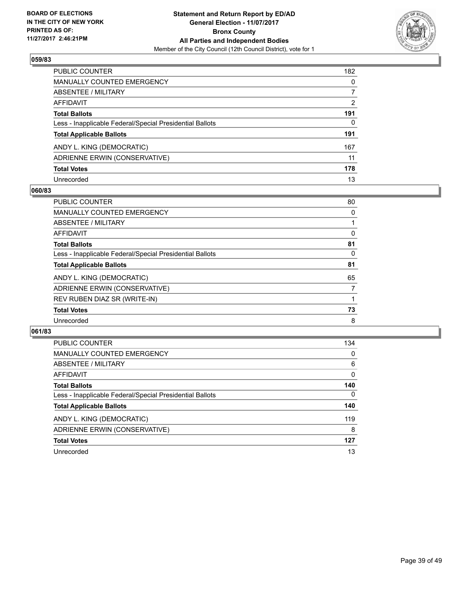

| PUBLIC COUNTER                                           | 182          |
|----------------------------------------------------------|--------------|
| <b>MANUALLY COUNTED EMERGENCY</b>                        | $\mathbf{0}$ |
| <b>ABSENTEE / MILITARY</b>                               | 7            |
| AFFIDAVIT                                                | 2            |
| <b>Total Ballots</b>                                     | 191          |
| Less - Inapplicable Federal/Special Presidential Ballots | 0            |
| <b>Total Applicable Ballots</b>                          | 191          |
| ANDY L. KING (DEMOCRATIC)                                | 167          |
| ADRIENNE ERWIN (CONSERVATIVE)                            | 11           |
| <b>Total Votes</b>                                       | 178          |
| Unrecorded                                               | 13           |

#### **060/83**

| <b>PUBLIC COUNTER</b>                                    | 80 |
|----------------------------------------------------------|----|
| MANUALLY COUNTED EMERGENCY                               | 0  |
| ABSENTEE / MILITARY                                      |    |
| <b>AFFIDAVIT</b>                                         | 0  |
| <b>Total Ballots</b>                                     | 81 |
| Less - Inapplicable Federal/Special Presidential Ballots | 0  |
| <b>Total Applicable Ballots</b>                          | 81 |
| ANDY L. KING (DEMOCRATIC)                                | 65 |
| ADRIENNE ERWIN (CONSERVATIVE)                            | 7  |
| REV RUBEN DIAZ SR (WRITE-IN)                             |    |
| <b>Total Votes</b>                                       | 73 |
| Unrecorded                                               | 8  |

| <b>PUBLIC COUNTER</b>                                    | 134 |
|----------------------------------------------------------|-----|
| <b>MANUALLY COUNTED EMERGENCY</b>                        | 0   |
| ABSENTEE / MILITARY                                      | 6   |
| AFFIDAVIT                                                | 0   |
| <b>Total Ballots</b>                                     | 140 |
| Less - Inapplicable Federal/Special Presidential Ballots | 0   |
| <b>Total Applicable Ballots</b>                          | 140 |
| ANDY L. KING (DEMOCRATIC)                                | 119 |
| ADRIENNE ERWIN (CONSERVATIVE)                            | 8   |
| <b>Total Votes</b>                                       | 127 |
| Unrecorded                                               | 13  |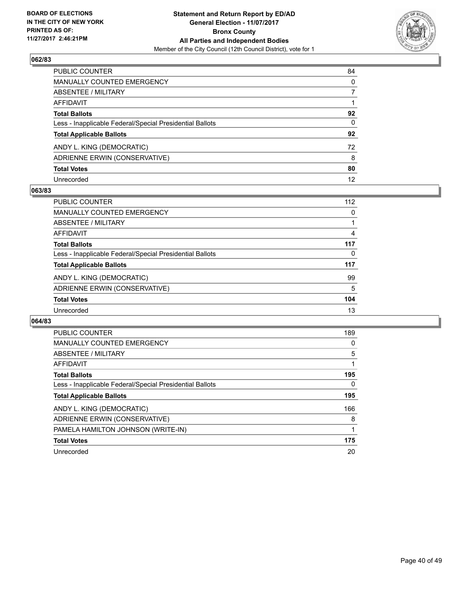

| PUBLIC COUNTER                                           | 84           |
|----------------------------------------------------------|--------------|
| <b>MANUALLY COUNTED EMERGENCY</b>                        | $\mathbf{0}$ |
| <b>ABSENTEE / MILITARY</b>                               | 7            |
| AFFIDAVIT                                                |              |
| <b>Total Ballots</b>                                     | 92           |
| Less - Inapplicable Federal/Special Presidential Ballots | $\mathbf{0}$ |
| <b>Total Applicable Ballots</b>                          | 92           |
| ANDY L. KING (DEMOCRATIC)                                | 72           |
| ADRIENNE ERWIN (CONSERVATIVE)                            | 8            |
| <b>Total Votes</b>                                       | 80           |
| Unrecorded                                               | 12           |

#### **063/83**

| <b>PUBLIC COUNTER</b>                                    | 112 |
|----------------------------------------------------------|-----|
| MANUALLY COUNTED EMERGENCY                               | 0   |
| ABSENTEE / MILITARY                                      |     |
| AFFIDAVIT                                                | 4   |
| <b>Total Ballots</b>                                     | 117 |
| Less - Inapplicable Federal/Special Presidential Ballots | 0   |
| <b>Total Applicable Ballots</b>                          | 117 |
| ANDY L. KING (DEMOCRATIC)                                | 99  |
| ADRIENNE ERWIN (CONSERVATIVE)                            | 5   |
| <b>Total Votes</b>                                       | 104 |
| Unrecorded                                               | 13  |

| <b>PUBLIC COUNTER</b>                                    | 189 |
|----------------------------------------------------------|-----|
| <b>MANUALLY COUNTED EMERGENCY</b>                        | 0   |
| ABSENTEE / MILITARY                                      | 5   |
| AFFIDAVIT                                                |     |
| <b>Total Ballots</b>                                     | 195 |
| Less - Inapplicable Federal/Special Presidential Ballots | 0   |
| <b>Total Applicable Ballots</b>                          | 195 |
| ANDY L. KING (DEMOCRATIC)                                | 166 |
| ADRIENNE ERWIN (CONSERVATIVE)                            | 8   |
| PAMELA HAMILTON JOHNSON (WRITE-IN)                       |     |
| <b>Total Votes</b>                                       | 175 |
| Unrecorded                                               | 20  |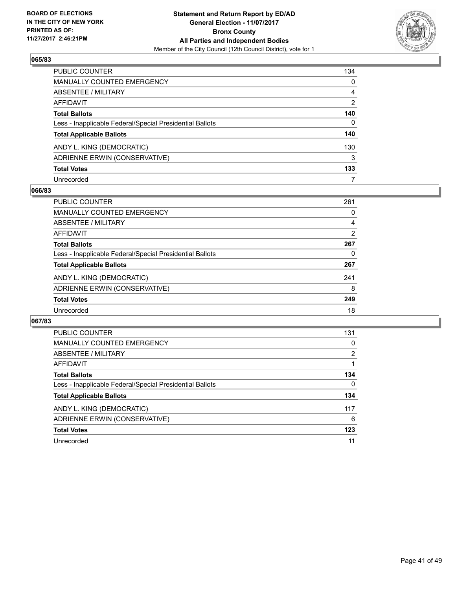

| PUBLIC COUNTER                                           | 134            |
|----------------------------------------------------------|----------------|
| <b>MANUALLY COUNTED EMERGENCY</b>                        | 0              |
| <b>ABSENTEE / MILITARY</b>                               | 4              |
| <b>AFFIDAVIT</b>                                         | $\overline{2}$ |
| <b>Total Ballots</b>                                     | 140            |
| Less - Inapplicable Federal/Special Presidential Ballots | 0              |
| <b>Total Applicable Ballots</b>                          | 140            |
| ANDY L. KING (DEMOCRATIC)                                | 130            |
| ADRIENNE ERWIN (CONSERVATIVE)                            | 3              |
| <b>Total Votes</b>                                       | 133            |
| Unrecorded                                               | 7              |

#### **066/83**

| <b>PUBLIC COUNTER</b>                                    | 261 |
|----------------------------------------------------------|-----|
| <b>MANUALLY COUNTED EMERGENCY</b>                        | 0   |
| ABSENTEE / MILITARY                                      | 4   |
| AFFIDAVIT                                                | 2   |
| <b>Total Ballots</b>                                     | 267 |
| Less - Inapplicable Federal/Special Presidential Ballots | 0   |
| <b>Total Applicable Ballots</b>                          | 267 |
| ANDY L. KING (DEMOCRATIC)                                | 241 |
| ADRIENNE ERWIN (CONSERVATIVE)                            | 8   |
| <b>Total Votes</b>                                       | 249 |
| Unrecorded                                               | 18  |

| <b>PUBLIC COUNTER</b>                                    | 131 |
|----------------------------------------------------------|-----|
| <b>MANUALLY COUNTED EMERGENCY</b>                        | 0   |
| ABSENTEE / MILITARY                                      | 2   |
| <b>AFFIDAVIT</b>                                         |     |
| <b>Total Ballots</b>                                     | 134 |
| Less - Inapplicable Federal/Special Presidential Ballots | 0   |
| <b>Total Applicable Ballots</b>                          | 134 |
| ANDY L. KING (DEMOCRATIC)                                | 117 |
| ADRIENNE ERWIN (CONSERVATIVE)                            | 6   |
| <b>Total Votes</b>                                       | 123 |
| Unrecorded                                               | 11  |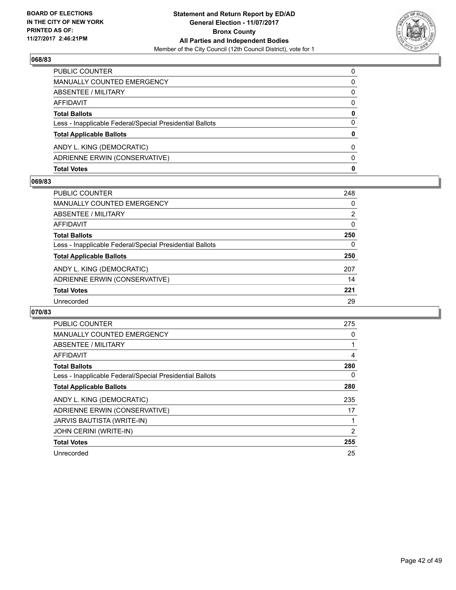

| <b>Total Votes</b>                                       | 0        |
|----------------------------------------------------------|----------|
| ADRIENNE ERWIN (CONSERVATIVE)                            | $\Omega$ |
| ANDY L. KING (DEMOCRATIC)                                | 0        |
| <b>Total Applicable Ballots</b>                          | 0        |
| Less - Inapplicable Federal/Special Presidential Ballots | 0        |
| <b>Total Ballots</b>                                     | 0        |
| AFFIDAVIT                                                | 0        |
| ABSENTEE / MILITARY                                      | 0        |
| MANUALLY COUNTED EMERGENCY                               | 0        |
| PUBLIC COUNTER                                           | 0        |

#### **069/83**

| <b>PUBLIC COUNTER</b>                                    | 248            |
|----------------------------------------------------------|----------------|
| <b>MANUALLY COUNTED EMERGENCY</b>                        | 0              |
| ABSENTEE / MILITARY                                      | $\overline{2}$ |
| AFFIDAVIT                                                | 0              |
| <b>Total Ballots</b>                                     | 250            |
| Less - Inapplicable Federal/Special Presidential Ballots | 0              |
| <b>Total Applicable Ballots</b>                          | 250            |
| ANDY L. KING (DEMOCRATIC)                                | 207            |
| ADRIENNE ERWIN (CONSERVATIVE)                            | 14             |
| <b>Total Votes</b>                                       | 221            |
| Unrecorded                                               | 29             |
|                                                          |                |

| <b>PUBLIC COUNTER</b>                                    | 275 |
|----------------------------------------------------------|-----|
| <b>MANUALLY COUNTED EMERGENCY</b>                        | 0   |
| ABSENTEE / MILITARY                                      |     |
| <b>AFFIDAVIT</b>                                         | 4   |
| <b>Total Ballots</b>                                     | 280 |
| Less - Inapplicable Federal/Special Presidential Ballots | 0   |
| <b>Total Applicable Ballots</b>                          | 280 |
| ANDY L. KING (DEMOCRATIC)                                | 235 |
| ADRIENNE ERWIN (CONSERVATIVE)                            | 17  |
| <b>JARVIS BAUTISTA (WRITE-IN)</b>                        |     |
| JOHN CERINI (WRITE-IN)                                   | 2   |
| <b>Total Votes</b>                                       | 255 |
| Unrecorded                                               | 25  |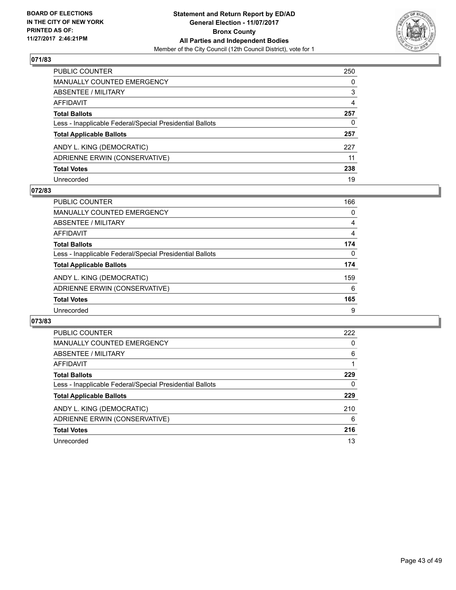

| PUBLIC COUNTER                                           | 250 |
|----------------------------------------------------------|-----|
| <b>MANUALLY COUNTED EMERGENCY</b>                        | 0   |
| <b>ABSENTEE / MILITARY</b>                               | 3   |
| AFFIDAVIT                                                | 4   |
| <b>Total Ballots</b>                                     | 257 |
| Less - Inapplicable Federal/Special Presidential Ballots | 0   |
| <b>Total Applicable Ballots</b>                          | 257 |
| ANDY L. KING (DEMOCRATIC)                                | 227 |
| ADRIENNE ERWIN (CONSERVATIVE)                            | 11  |
| <b>Total Votes</b>                                       | 238 |
| Unrecorded                                               | 19  |

#### **072/83**

| <b>PUBLIC COUNTER</b>                                    | 166 |
|----------------------------------------------------------|-----|
| <b>MANUALLY COUNTED EMERGENCY</b>                        | 0   |
| ABSENTEE / MILITARY                                      | 4   |
| AFFIDAVIT                                                | 4   |
| <b>Total Ballots</b>                                     | 174 |
| Less - Inapplicable Federal/Special Presidential Ballots | 0   |
| <b>Total Applicable Ballots</b>                          | 174 |
| ANDY L. KING (DEMOCRATIC)                                | 159 |
| ADRIENNE ERWIN (CONSERVATIVE)                            | 6   |
| <b>Total Votes</b>                                       | 165 |
| Unrecorded                                               | 9   |

| <b>PUBLIC COUNTER</b>                                    | 222 |
|----------------------------------------------------------|-----|
| MANUALLY COUNTED EMERGENCY                               | 0   |
| ABSENTEE / MILITARY                                      | 6   |
| AFFIDAVIT                                                |     |
| <b>Total Ballots</b>                                     | 229 |
| Less - Inapplicable Federal/Special Presidential Ballots | 0   |
| <b>Total Applicable Ballots</b>                          | 229 |
| ANDY L. KING (DEMOCRATIC)                                | 210 |
| ADRIENNE ERWIN (CONSERVATIVE)                            | 6   |
| <b>Total Votes</b>                                       | 216 |
| Unrecorded                                               | 13  |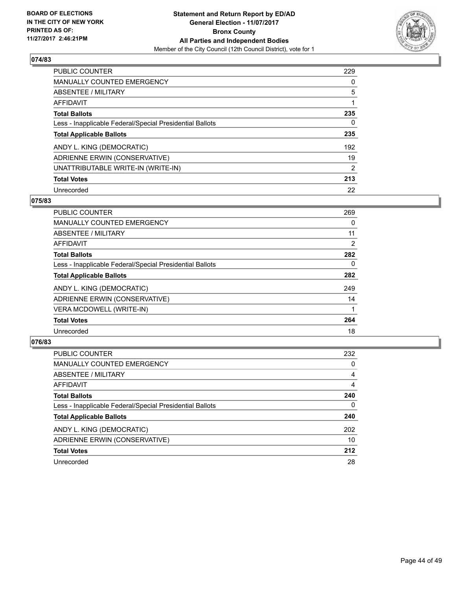

| <b>PUBLIC COUNTER</b>                                    | 229 |
|----------------------------------------------------------|-----|
| <b>MANUALLY COUNTED EMERGENCY</b>                        | 0   |
| ABSENTEE / MILITARY                                      | 5   |
| AFFIDAVIT                                                |     |
| <b>Total Ballots</b>                                     | 235 |
| Less - Inapplicable Federal/Special Presidential Ballots | 0   |
| <b>Total Applicable Ballots</b>                          | 235 |
| ANDY L. KING (DEMOCRATIC)                                | 192 |
| ADRIENNE ERWIN (CONSERVATIVE)                            | 19  |
| UNATTRIBUTABLE WRITE-IN (WRITE-IN)                       | 2   |
| <b>Total Votes</b>                                       | 213 |
| Unrecorded                                               | 22  |

#### **075/83**

| <b>PUBLIC COUNTER</b>                                    | 269      |
|----------------------------------------------------------|----------|
| <b>MANUALLY COUNTED EMERGENCY</b>                        | 0        |
| ABSENTEE / MILITARY                                      | 11       |
| <b>AFFIDAVIT</b>                                         | 2        |
| <b>Total Ballots</b>                                     | 282      |
| Less - Inapplicable Federal/Special Presidential Ballots | $\Omega$ |
| <b>Total Applicable Ballots</b>                          | 282      |
| ANDY L. KING (DEMOCRATIC)                                | 249      |
| ADRIENNE ERWIN (CONSERVATIVE)                            | 14       |
| <b>VERA MCDOWELL (WRITE-IN)</b>                          |          |
| <b>Total Votes</b>                                       | 264      |
| Unrecorded                                               | 18       |

| <b>PUBLIC COUNTER</b>                                    | 232 |
|----------------------------------------------------------|-----|
| <b>MANUALLY COUNTED EMERGENCY</b>                        | 0   |
| ABSENTEE / MILITARY                                      | 4   |
| AFFIDAVIT                                                | 4   |
| <b>Total Ballots</b>                                     | 240 |
| Less - Inapplicable Federal/Special Presidential Ballots | 0   |
| <b>Total Applicable Ballots</b>                          | 240 |
| ANDY L. KING (DEMOCRATIC)                                | 202 |
| ADRIENNE ERWIN (CONSERVATIVE)                            | 10  |
| <b>Total Votes</b>                                       | 212 |
| Unrecorded                                               | 28  |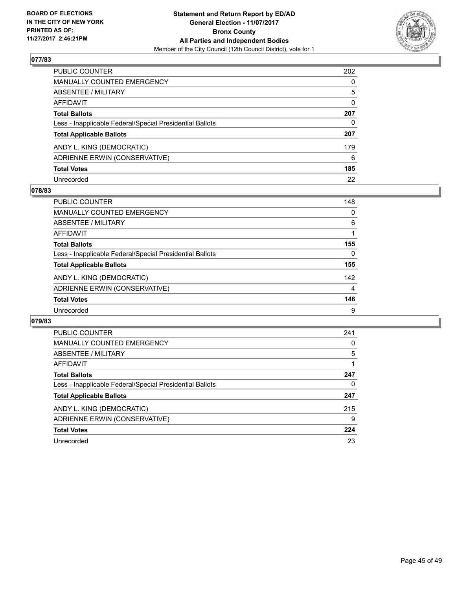

| PUBLIC COUNTER                                           | 202      |
|----------------------------------------------------------|----------|
| <b>MANUALLY COUNTED EMERGENCY</b>                        | 0        |
| <b>ABSENTEE / MILITARY</b>                               | 5        |
| AFFIDAVIT                                                | $\Omega$ |
| <b>Total Ballots</b>                                     | 207      |
| Less - Inapplicable Federal/Special Presidential Ballots | 0        |
| <b>Total Applicable Ballots</b>                          | 207      |
| ANDY L. KING (DEMOCRATIC)                                | 179      |
| ADRIENNE ERWIN (CONSERVATIVE)                            | 6        |
| <b>Total Votes</b>                                       | 185      |
| Unrecorded                                               | 22       |

#### **078/83**

| <b>PUBLIC COUNTER</b>                                    | 148 |
|----------------------------------------------------------|-----|
| <b>MANUALLY COUNTED EMERGENCY</b>                        | 0   |
| ABSENTEE / MILITARY                                      | 6   |
| AFFIDAVIT                                                |     |
| <b>Total Ballots</b>                                     | 155 |
| Less - Inapplicable Federal/Special Presidential Ballots | 0   |
| <b>Total Applicable Ballots</b>                          | 155 |
| ANDY L. KING (DEMOCRATIC)                                | 142 |
| ADRIENNE ERWIN (CONSERVATIVE)                            | 4   |
| <b>Total Votes</b>                                       | 146 |
| Unrecorded                                               | 9   |

| <b>PUBLIC COUNTER</b>                                    | 241 |
|----------------------------------------------------------|-----|
| MANUALLY COUNTED EMERGENCY                               | 0   |
| ABSENTEE / MILITARY                                      | 5   |
| AFFIDAVIT                                                |     |
| <b>Total Ballots</b>                                     | 247 |
| Less - Inapplicable Federal/Special Presidential Ballots | 0   |
| <b>Total Applicable Ballots</b>                          | 247 |
| ANDY L. KING (DEMOCRATIC)                                | 215 |
| ADRIENNE ERWIN (CONSERVATIVE)                            | 9   |
| <b>Total Votes</b>                                       | 224 |
| Unrecorded                                               | 23  |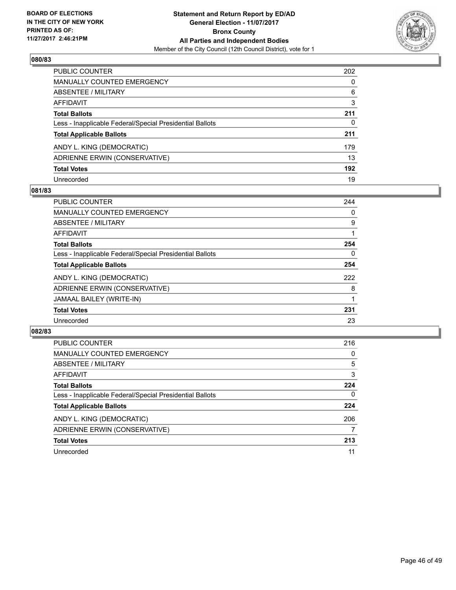

| PUBLIC COUNTER                                           | 202 |
|----------------------------------------------------------|-----|
| <b>MANUALLY COUNTED EMERGENCY</b>                        | 0   |
| ABSENTEE / MILITARY                                      | 6   |
| AFFIDAVIT                                                | 3   |
| <b>Total Ballots</b>                                     | 211 |
| Less - Inapplicable Federal/Special Presidential Ballots | 0   |
| <b>Total Applicable Ballots</b>                          | 211 |
| ANDY L. KING (DEMOCRATIC)                                | 179 |
| ADRIENNE ERWIN (CONSERVATIVE)                            | 13  |
| <b>Total Votes</b>                                       | 192 |
| Unrecorded                                               | 19  |

#### **081/83**

| <b>PUBLIC COUNTER</b>                                    | 244      |
|----------------------------------------------------------|----------|
| <b>MANUALLY COUNTED EMERGENCY</b>                        | 0        |
| ABSENTEE / MILITARY                                      | 9        |
| AFFIDAVIT                                                |          |
| <b>Total Ballots</b>                                     | 254      |
| Less - Inapplicable Federal/Special Presidential Ballots | $\Omega$ |
| <b>Total Applicable Ballots</b>                          | 254      |
| ANDY L. KING (DEMOCRATIC)                                | 222      |
| ADRIENNE ERWIN (CONSERVATIVE)                            | 8        |
| JAMAAL BAILEY (WRITE-IN)                                 |          |
| <b>Total Votes</b>                                       | 231      |
| Unrecorded                                               | 23       |

| <b>PUBLIC COUNTER</b>                                    | 216 |
|----------------------------------------------------------|-----|
| <b>MANUALLY COUNTED EMERGENCY</b>                        | 0   |
| ABSENTEE / MILITARY                                      | 5   |
| AFFIDAVIT                                                | 3   |
| <b>Total Ballots</b>                                     | 224 |
| Less - Inapplicable Federal/Special Presidential Ballots | 0   |
| <b>Total Applicable Ballots</b>                          | 224 |
| ANDY L. KING (DEMOCRATIC)                                | 206 |
| ADRIENNE ERWIN (CONSERVATIVE)                            | 7   |
| <b>Total Votes</b>                                       | 213 |
| Unrecorded                                               | 11  |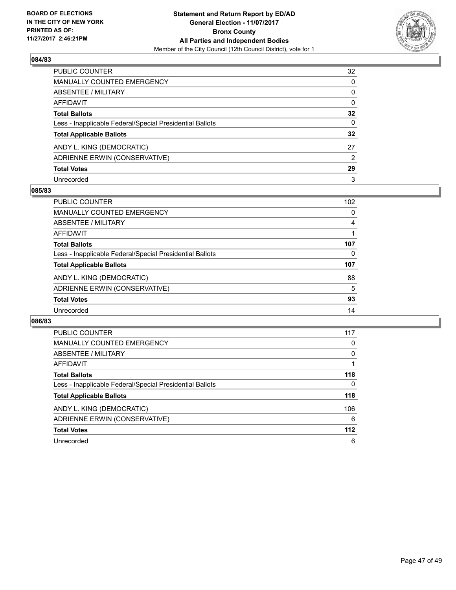

| PUBLIC COUNTER                                           | 32 |
|----------------------------------------------------------|----|
| <b>MANUALLY COUNTED EMERGENCY</b>                        | 0  |
| <b>ABSENTEE / MILITARY</b>                               | 0  |
| AFFIDAVIT                                                | 0  |
| <b>Total Ballots</b>                                     | 32 |
| Less - Inapplicable Federal/Special Presidential Ballots | 0  |
| <b>Total Applicable Ballots</b>                          | 32 |
| ANDY L. KING (DEMOCRATIC)                                | 27 |
| ADRIENNE ERWIN (CONSERVATIVE)                            | 2  |
| <b>Total Votes</b>                                       | 29 |
| Unrecorded                                               | 3  |

#### **085/83**

| <b>PUBLIC COUNTER</b>                                    | 102 |
|----------------------------------------------------------|-----|
| MANUALLY COUNTED EMERGENCY                               | 0   |
| ABSENTEE / MILITARY                                      | 4   |
| AFFIDAVIT                                                |     |
| <b>Total Ballots</b>                                     | 107 |
| Less - Inapplicable Federal/Special Presidential Ballots | 0   |
| <b>Total Applicable Ballots</b>                          | 107 |
| ANDY L. KING (DEMOCRATIC)                                | 88  |
| ADRIENNE ERWIN (CONSERVATIVE)                            | 5   |
| <b>Total Votes</b>                                       | 93  |
| Unrecorded                                               | 14  |

| <b>PUBLIC COUNTER</b>                                    | 117   |
|----------------------------------------------------------|-------|
| MANUALLY COUNTED EMERGENCY                               | 0     |
| ABSENTEE / MILITARY                                      | 0     |
| AFFIDAVIT                                                |       |
| <b>Total Ballots</b>                                     | 118   |
| Less - Inapplicable Federal/Special Presidential Ballots | 0     |
| <b>Total Applicable Ballots</b>                          | 118   |
| ANDY L. KING (DEMOCRATIC)                                | 106   |
| ADRIENNE ERWIN (CONSERVATIVE)                            | 6     |
| <b>Total Votes</b>                                       | $112$ |
| Unrecorded                                               | 6     |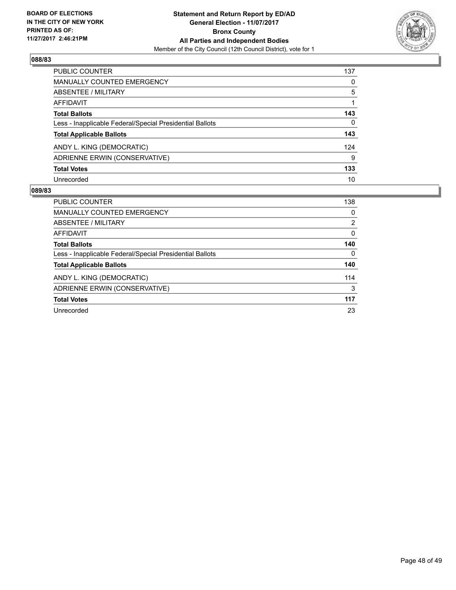

| PUBLIC COUNTER                                           | 137 |
|----------------------------------------------------------|-----|
| <b>MANUALLY COUNTED EMERGENCY</b>                        | 0   |
| ABSENTEE / MILITARY                                      | 5   |
| <b>AFFIDAVIT</b>                                         |     |
| <b>Total Ballots</b>                                     | 143 |
| Less - Inapplicable Federal/Special Presidential Ballots | 0   |
| <b>Total Applicable Ballots</b>                          | 143 |
| ANDY L. KING (DEMOCRATIC)                                | 124 |
| ADRIENNE ERWIN (CONSERVATIVE)                            | 9   |
| <b>Total Votes</b>                                       | 133 |
| Unrecorded                                               | 10  |

| <b>PUBLIC COUNTER</b>                                    | 138            |
|----------------------------------------------------------|----------------|
| <b>MANUALLY COUNTED EMERGENCY</b>                        | 0              |
| ABSENTEE / MILITARY                                      | $\overline{2}$ |
| AFFIDAVIT                                                | 0              |
| <b>Total Ballots</b>                                     | 140            |
| Less - Inapplicable Federal/Special Presidential Ballots | 0              |
| <b>Total Applicable Ballots</b>                          | 140            |
| ANDY L. KING (DEMOCRATIC)                                | 114            |
| ADRIENNE ERWIN (CONSERVATIVE)                            | 3              |
| <b>Total Votes</b>                                       | 117            |
| Unrecorded                                               | 23             |